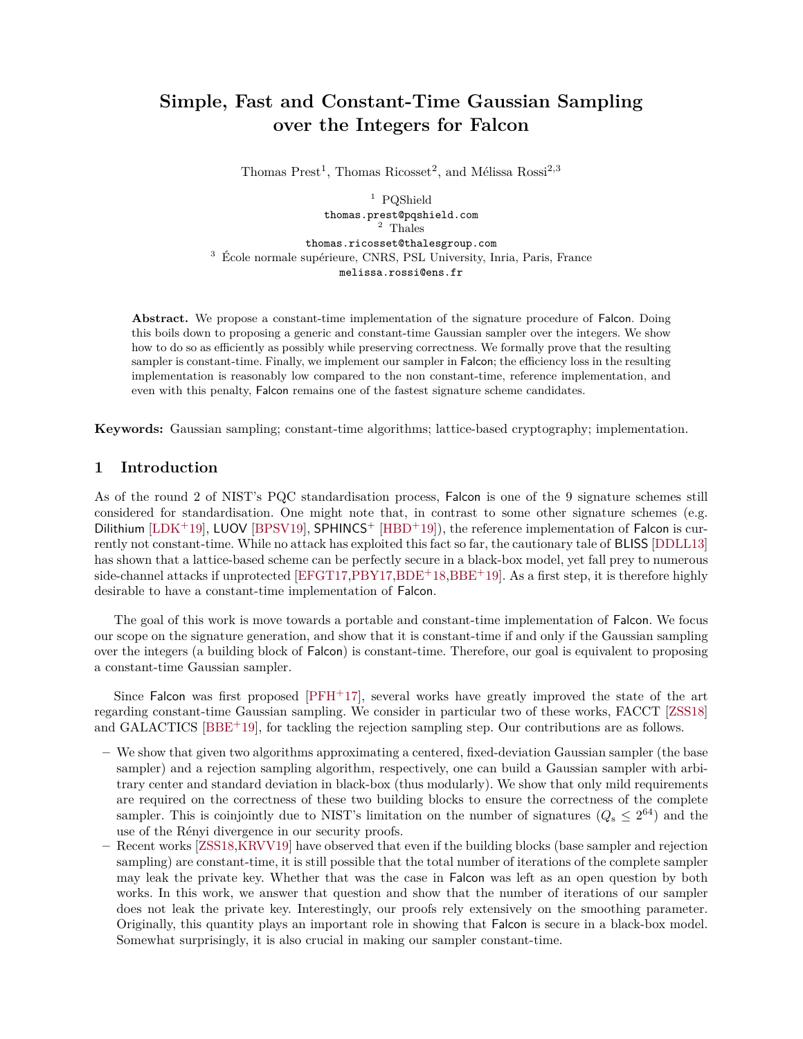# <span id="page-0-1"></span><span id="page-0-0"></span>**Simple, Fast and Constant-Time Gaussian Sampling over the Integers for Falcon**

Thomas Prest<sup>1</sup>, Thomas Ricosset<sup>2</sup>, and Mélissa Rossi<sup>2,3</sup>

<sup>1</sup> PQShield thomas.prest@pqshield.com  $\frac{1}{2}$  Thales thomas.ricosset@thalesgroup.com <sup>3</sup> École normale supérieure, CNRS, PSL University, Inria, Paris, France melissa.rossi@ens.fr

**Abstract.** We propose a constant-time implementation of the signature procedure of Falcon. Doing this boils down to proposing a generic and constant-time Gaussian sampler over the integers. We show how to do so as efficiently as possibly while preserving correctness. We formally prove that the resulting sampler is constant-time. Finally, we implement our sampler in Falcon; the efficiency loss in the resulting implementation is reasonably low compared to the non constant-time, reference implementation, and even with this penalty, Falcon remains one of the fastest signature scheme candidates.

**Keywords:** Gaussian sampling; constant-time algorithms; lattice-based cryptography; implementation.

## **1 Introduction**

As of the round 2 of NIST's PQC standardisation process, Falcon is one of the 9 signature schemes still considered for standardisation. One might note that, in contrast to some other signature schemes (e.g. Dilithium  $[LDK+19]$  $[LDK+19]$ , LUOV  $[BPSV19]$ , SPHINCS<sup>+</sup>  $[HBD+19]$  $[HBD+19]$ ), the reference implementation of Falcon is currently not constant-time. While no attack has exploited this fact so far, the cautionary tale of BLISS [\[DDLL13\]](#page-15-3) has shown that a lattice-based scheme can be perfectly secure in a black-box model, yet fall prey to numerous side-channel attacks if unprotected  $[EFGT17, PBY17, BDE^+18, BBE^+19]$  $[EFGT17, PBY17, BDE^+18, BBE^+19]$  $[EFGT17, PBY17, BDE^+18, BBE^+19]$  $[EFGT17, PBY17, BDE^+18, BBE^+19]$  $[EFGT17, PBY17, BDE^+18, BBE^+19]$  $[EFGT17, PBY17, BDE^+18, BBE^+19]$ . As a first step, it is therefore highly desirable to have a constant-time implementation of Falcon.

The goal of this work is move towards a portable and constant-time implementation of Falcon. We focus our scope on the signature generation, and show that it is constant-time if and only if the Gaussian sampling over the integers (a building block of Falcon) is constant-time. Therefore, our goal is equivalent to proposing a constant-time Gaussian sampler.

Since Falcon was first proposed  $[PFH+17]$  $[PFH+17]$ , several works have greatly improved the state of the art regarding constant-time Gaussian sampling. We consider in particular two of these works, FACCT [\[ZSS18\]](#page-16-2) and GALACTICS [\[BBE](#page-14-1)<sup>+</sup>19], for tackling the rejection sampling step. Our contributions are as follows.

- **–** We show that given two algorithms approximating a centered, fixed-deviation Gaussian sampler (the base sampler) and a rejection sampling algorithm, respectively, one can build a Gaussian sampler with arbitrary center and standard deviation in black-box (thus modularly). We show that only mild requirements are required on the correctness of these two building blocks to ensure the correctness of the complete sampler. This is coinjointly due to NIST's limitation on the number of signatures  $(Q_s \leq 2^{64})$  and the use of the Rényi divergence in our security proofs.
- **–** Recent works [\[ZSS18,](#page-16-2)[KRVV19\]](#page-15-5) have observed that even if the building blocks (base sampler and rejection sampling) are constant-time, it is still possible that the total number of iterations of the complete sampler may leak the private key. Whether that was the case in Falcon was left as an open question by both works. In this work, we answer that question and show that the number of iterations of our sampler does not leak the private key. Interestingly, our proofs rely extensively on the smoothing parameter. Originally, this quantity plays an important role in showing that Falcon is secure in a black-box model. Somewhat surprisingly, it is also crucial in making our sampler constant-time.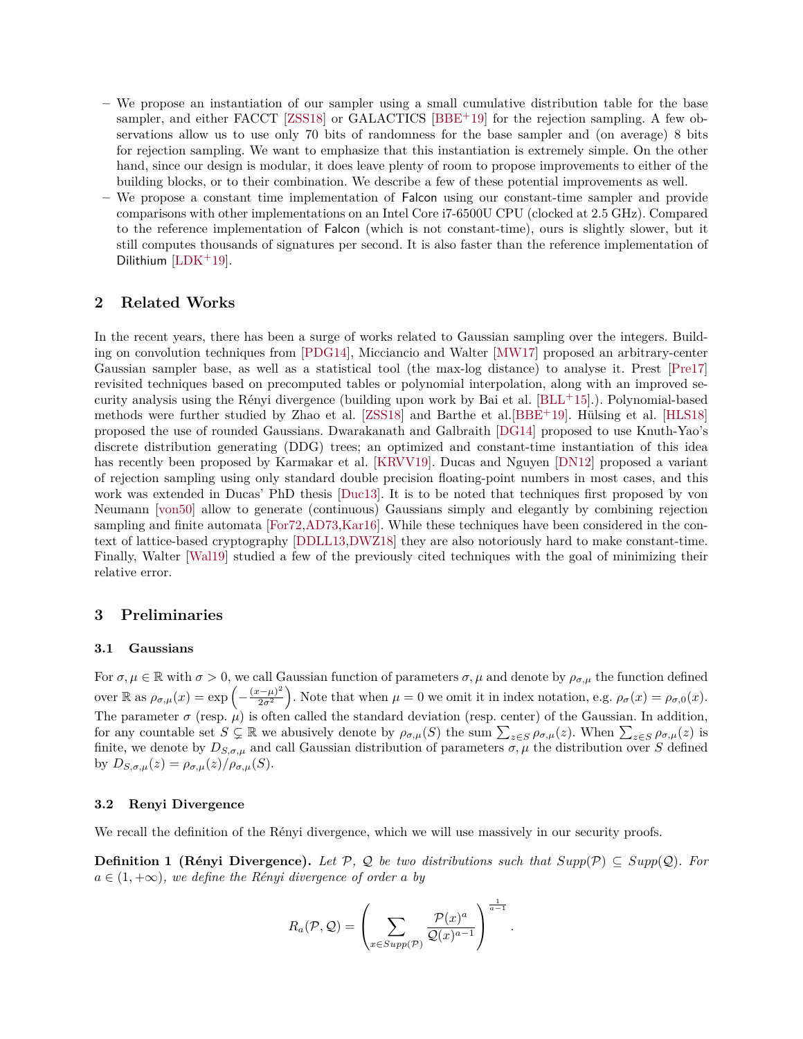- <span id="page-1-0"></span>**–** We propose an instantiation of our sampler using a small cumulative distribution table for the base sampler, and either FACCT [\[ZSS18\]](#page-16-2) or GALACTICS [\[BBE](#page-14-1)+19] for the rejection sampling. A few observations allow us to use only 70 bits of randomness for the base sampler and (on average) 8 bits for rejection sampling. We want to emphasize that this instantiation is extremely simple. On the other hand, since our design is modular, it does leave plenty of room to propose improvements to either of the building blocks, or to their combination. We describe a few of these potential improvements as well.
- **–** We propose a constant time implementation of Falcon using our constant-time sampler and provide comparisons with other implementations on an Intel Core i7-6500U CPU (clocked at 2.5 GHz). Compared to the reference implementation of Falcon (which is not constant-time), ours is slightly slower, but it still computes thousands of signatures per second. It is also faster than the reference implementation of Dilithium [\[LDK](#page-15-0)+19].

## **2 Related Works**

In the recent years, there has been a surge of works related to Gaussian sampling over the integers. Building on convolution techniques from [\[PDG14\]](#page-16-3), Micciancio and Walter [\[MW17\]](#page-15-6) proposed an arbitrary-center Gaussian sampler base, as well as a statistical tool (the max-log distance) to analyse it. Prest [\[Pre17\]](#page-16-4) revisited techniques based on precomputed tables or polynomial interpolation, along with an improved security analysis using the Rényi divergence (building upon work by Bai et al. [\[BLL](#page-15-7)+15].). Polynomial-based methods were further studied by Zhao et al. [\[ZSS18\]](#page-16-2) and Barthe et al.[\[BBE](#page-14-1)+19]. Hülsing et al. [\[HLS18\]](#page-15-8) proposed the use of rounded Gaussians. Dwarakanath and Galbraith [\[DG14\]](#page-15-9) proposed to use Knuth-Yao's discrete distribution generating (DDG) trees; an optimized and constant-time instantiation of this idea has recently been proposed by Karmakar et al. [\[KRVV19\]](#page-15-5). Ducas and Nguyen [\[DN12\]](#page-15-10) proposed a variant of rejection sampling using only standard double precision floating-point numbers in most cases, and this work was extended in Ducas' PhD thesis [\[Duc13\]](#page-15-11). It is to be noted that techniques first proposed by von Neumann [\[von50\]](#page-16-5) allow to generate (continuous) Gaussians simply and elegantly by combining rejection sampling and finite automata [\[For72,](#page-15-12)[AD73,](#page-14-2)[Kar16\]](#page-15-13). While these techniques have been considered in the context of lattice-based cryptography [\[DDLL13,](#page-15-3)[DWZ18\]](#page-15-14) they are also notoriously hard to make constant-time. Finally, Walter [\[Wal19\]](#page-16-6) studied a few of the previously cited techniques with the goal of minimizing their relative error.

## **3 Preliminaries**

#### **3.1 Gaussians**

For  $\sigma, \mu \in \mathbb{R}$  with  $\sigma > 0$ , we call Gaussian function of parameters  $\sigma, \mu$  and denote by  $\rho_{\sigma,\mu}$  the function defined over  $\mathbb{R}$  as  $\rho_{\sigma,\mu}(x) = \exp\left(-\frac{(x-\mu)^2}{2\sigma^2}\right)$  $\left(\frac{2}{2\sigma^2}\right)$ . Note that when  $\mu = 0$  we omit it in index notation, e.g.  $\rho_{\sigma}(x) = \rho_{\sigma,0}(x)$ . The parameter  $\sigma$  (resp.  $\mu$ ) is often called the standard deviation (resp. center) of the Gaussian. In addition, for any countable set  $S \subsetneq \mathbb{R}$  we abusively denote by  $\rho_{\sigma,\mu}(S)$  the sum  $\sum_{z \in S} \rho_{\sigma,\mu}(z)$ . When  $\sum_{z \in S} \rho_{\sigma,\mu}(z)$  is finite, we denote by  $D_{S,\sigma,\mu}$  and call Gaussian distribution of parameters  $\sigma,\mu$  the distribution over *S* defined by  $D_{S,\sigma,\mu}(z) = \rho_{\sigma,\mu}(z)/\rho_{\sigma,\mu}(S)$ .

## **3.2 Renyi Divergence**

We recall the definition of the Rényi divergence, which we will use massively in our security proofs.

**Definition 1 (Rényi Divergence).** Let  $P$ ,  $Q$  be two distributions such that  $Supp(P) \subseteq Supp(Q)$ . For  $a \in (1, +\infty)$ *, we define the Rényi divergence of order a by* 

$$
R_a(\mathcal{P}, \mathcal{Q}) = \left(\sum_{x \in Supp(\mathcal{P})} \frac{\mathcal{P}(x)^a}{\mathcal{Q}(x)^{a-1}}\right)^{\frac{1}{a-1}}.
$$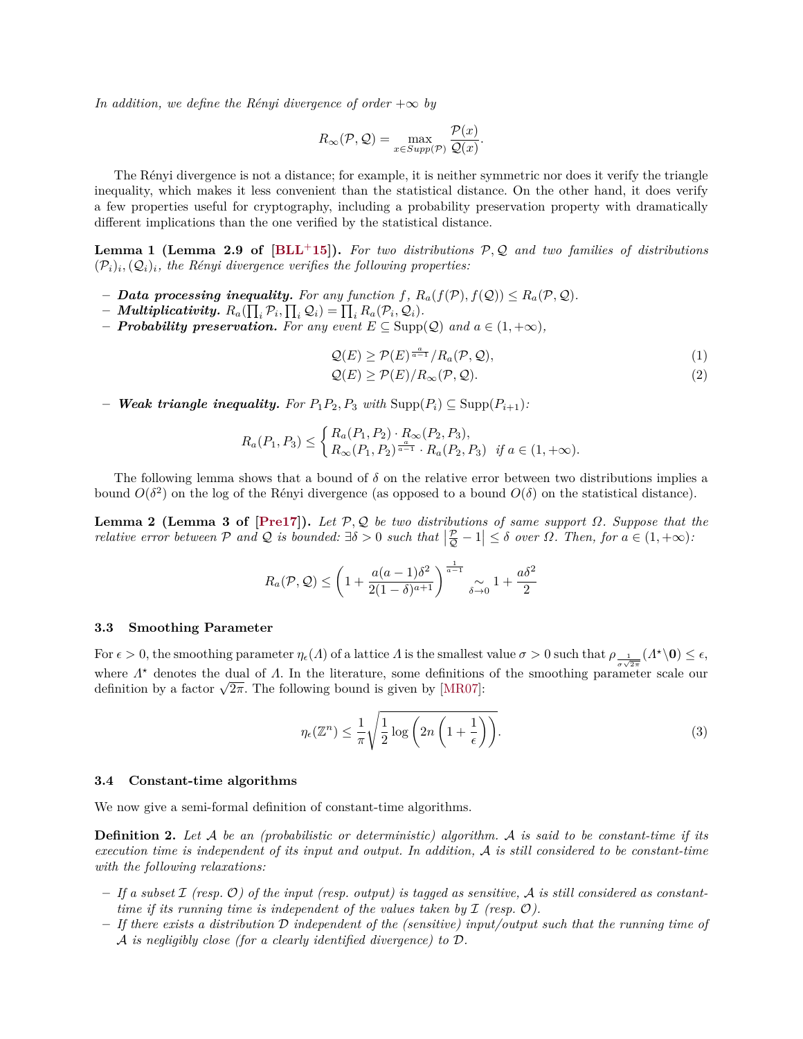<span id="page-2-4"></span>*In addition, we define the Rényi divergence of order*  $+\infty$  *by* 

$$
R_{\infty}(\mathcal{P}, \mathcal{Q}) = \max_{x \in Supp(\mathcal{P})} \frac{\mathcal{P}(x)}{\mathcal{Q}(x)}.
$$

The Rényi divergence is not a distance; for example, it is neither symmetric nor does it verify the triangle inequality, which makes it less convenient than the statistical distance. On the other hand, it does verify a few properties useful for cryptography, including a probability preservation property with dramatically different implications than the one verified by the statistical distance.

<span id="page-2-0"></span>**Lemma 1 (Lemma 2.9 of [\[BLL](#page-15-7)**+**15]).** *For two distributions* <sup>P</sup>*,* <sup>Q</sup> *and two families of distributions*  $(\mathcal{P}_i)_i, (\mathcal{Q}_i)_i$ , the Rényi divergence verifies the following properties:

- $\blacksquare$  *Data processing inequality. For any function f,*  $R_a(f(\mathcal{P}), f(\mathcal{Q})) \leq R_a(\mathcal{P}, \mathcal{Q})$ *.*
- $-$  *Multiplicativity.*  $R_a(\prod_i \mathcal{P}_i, \prod_i \mathcal{Q}_i) = \prod_i R_a(\mathcal{P}_i, \mathcal{Q}_i)$ .
- **–** *Probability preservation. For any event E* ⊆ Supp(Q) *and a* ∈ (1*,* +∞)*,*

$$
\mathcal{Q}(E) \ge \mathcal{P}(E)^{\frac{a}{a-1}} / R_a(\mathcal{P}, \mathcal{Q}), \tag{1}
$$

<span id="page-2-1"></span>
$$
\mathcal{Q}(E) \ge \mathcal{P}(E)/R_{\infty}(\mathcal{P}, \mathcal{Q}).
$$
\n(2)

*− Weak triangle inequality. For*  $P_1P_2$ ,  $P_3$  *with*  $\text{Supp}(P_i) ⊆ \text{Supp}(P_{i+1})$ *:* 

$$
R_a(P_1, P_3) \le \begin{cases} R_a(P_1, P_2) \cdot R_\infty(P_2, P_3), \\ R_\infty(P_1, P_2)^{\frac{a}{a-1}} \cdot R_a(P_2, P_3) & \text{if } a \in (1, +\infty). \end{cases}
$$

The following lemma shows that a bound of  $\delta$  on the relative error between two distributions implies a bound  $O(\delta^2)$  on the log of the Rényi divergence (as opposed to a bound  $O(\delta)$  on the statistical distance).

<span id="page-2-2"></span>**Lemma 2 (Lemma 3 of**  $[Pre17]$ **).** *Let*  $\mathcal{P}, \mathcal{Q}$  *be two distributions of same support*  $\Omega$ *. Suppose that the relative error between*  $P$  *and*  $Q$  *is bounded:*  $\exists \delta > 0$  *such that*  $\left| \frac{P}{Q} - 1 \right| \leq \delta$  *over*  $\Omega$ *. Then, for*  $a \in (1, +\infty)$ *:* 

$$
R_a(\mathcal{P}, \mathcal{Q}) \le \left(1 + \frac{a(a-1)\delta^2}{2(1-\delta)^{a+1}}\right)^{\frac{1}{a-1}} \underset{\delta \to 0}{\sim} 1 + \frac{a\delta^2}{2}
$$

#### **3.3 Smoothing Parameter**

For  $\epsilon > 0$ , the smoothing parameter  $\eta_{\epsilon}(\Lambda)$  of a lattice  $\Lambda$  is the smallest value  $\sigma > 0$  such that  $\rho_{\frac{1}{\sigma\sqrt{2\pi}}}(\Lambda^*\setminus 0) \leq \epsilon$ , where  $Λ<sup>*</sup>$  denotes the dual of  $Λ$ . In the literature, some definitions of the smoothing parameter scale our definition by a factor  $\sqrt{2\pi}$ . The following bound is given by [\[MR07\]](#page-15-15):

$$
\eta_{\epsilon}(\mathbb{Z}^n) \le \frac{1}{\pi} \sqrt{\frac{1}{2} \log \left( 2n \left( 1 + \frac{1}{\epsilon} \right) \right)}.
$$
\n(3)

#### **3.4 Constant-time algorithms**

<span id="page-2-3"></span>We now give a semi-formal definition of constant-time algorithms.

**Definition 2.** *Let* A *be an (probabilistic or deterministic) algorithm.* A *is said to be constant-time if its execution time is independent of its input and output. In addition,* A *is still considered to be constant-time with the following relaxations:*

- **–** *If a subset* I *(resp.* O*) of the input (resp. output) is tagged as sensitive,* A *is still considered as constanttime if its running time is independent of the values taken by*  $I$  *(resp.*  $O$ *).*
- **–** *If there exists a distribution* D *independent of the (sensitive) input/output such that the running time of* A *is negligibly close (for a clearly identified divergence) to* D*.*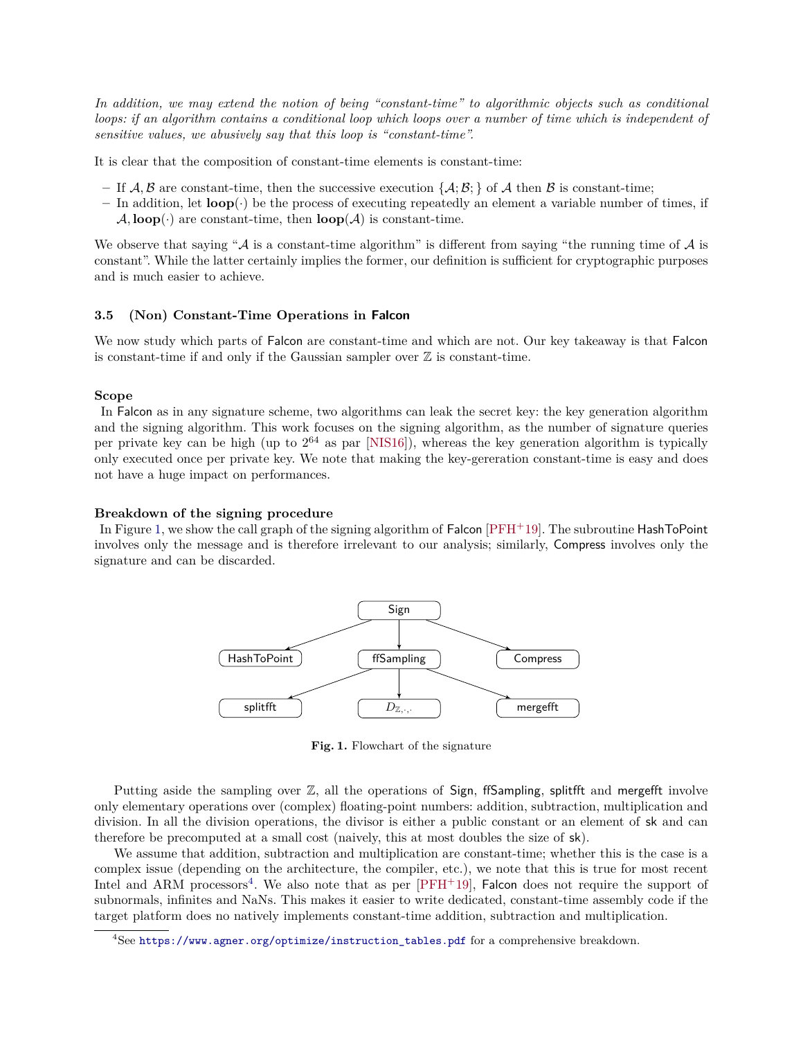<span id="page-3-1"></span>*In addition, we may extend the notion of being "constant-time" to algorithmic objects such as conditional loops: if an algorithm contains a conditional loop which loops over a number of time which is independent of sensitive values, we abusively say that this loop is "constant-time".*

It is clear that the composition of constant-time elements is constant-time:

- If  $\mathcal{A}, \mathcal{B}$  are constant-time, then the successive execution  $\{\mathcal{A}; \mathcal{B};\}$  of  $\mathcal{A}$  then  $\mathcal{B}$  is constant-time;
- **–** In addition, let **loop**(·) be the process of executing repeatedly an element a variable number of times, if  $\mathcal{A}$ , **loop**( $\cdot$ ) are constant-time, then **loop** $(\mathcal{A})$  is constant-time.

We observe that saying " $\mathcal A$  is a constant-time algorithm" is different from saying "the running time of  $\mathcal A$  is constant". While the latter certainly implies the former, our definition is sufficient for cryptographic purposes and is much easier to achieve.

#### **3.5 (Non) Constant-Time Operations in Falcon**

We now study which parts of Falcon are constant-time and which are not. Our key takeaway is that Falcon is constant-time if and only if the Gaussian sampler over  $\mathbb Z$  is constant-time.

## **Scope**

In Falcon as in any signature scheme, two algorithms can leak the secret key: the key generation algorithm and the signing algorithm. This work focuses on the signing algorithm, as the number of signature queries per private key can be high (up to  $2^{64}$  as par [\[NIS16\]](#page-15-16)), whereas the key generation algorithm is typically only executed once per private key. We note that making the key-gereration constant-time is easy and does not have a huge impact on performances.

#### **Breakdown of the signing procedure**

In Figure [1,](#page-3-0) we show the call graph of the signing algorithm of Falcon [\[PFH](#page-16-7)+19]. The subroutine HashToPoint involves only the message and is therefore irrelevant to our analysis; similarly, Compress involves only the signature and can be discarded.



<span id="page-3-0"></span>**Fig. 1.** Flowchart of the signature

Putting aside the sampling over Z, all the operations of Sign, ffSampling, splitfft and mergefft involve only elementary operations over (complex) floating-point numbers: addition, subtraction, multiplication and division. In all the division operations, the divisor is either a public constant or an element of sk and can therefore be precomputed at a small cost (naively, this at most doubles the size of sk).

We assume that addition, subtraction and multiplication are constant-time; whether this is the case is a complex issue (depending on the architecture, the compiler, etc.), we note that this is true for most recent Intel and ARM processors<sup>[4](#page-0-0)</sup>. We also note that as per  $[PFH<sup>+</sup>19]$  $[PFH<sup>+</sup>19]$ , Falcon does not require the support of subnormals, infinites and NaNs. This makes it easier to write dedicated, constant-time assembly code if the target platform does no natively implements constant-time addition, subtraction and multiplication.

 $4$ See [https://www.agner.org/optimize/instruction\\_tables.pdf](https://www.agner.org/optimize/instruction_tables.pdf) for a comprehensive breakdown.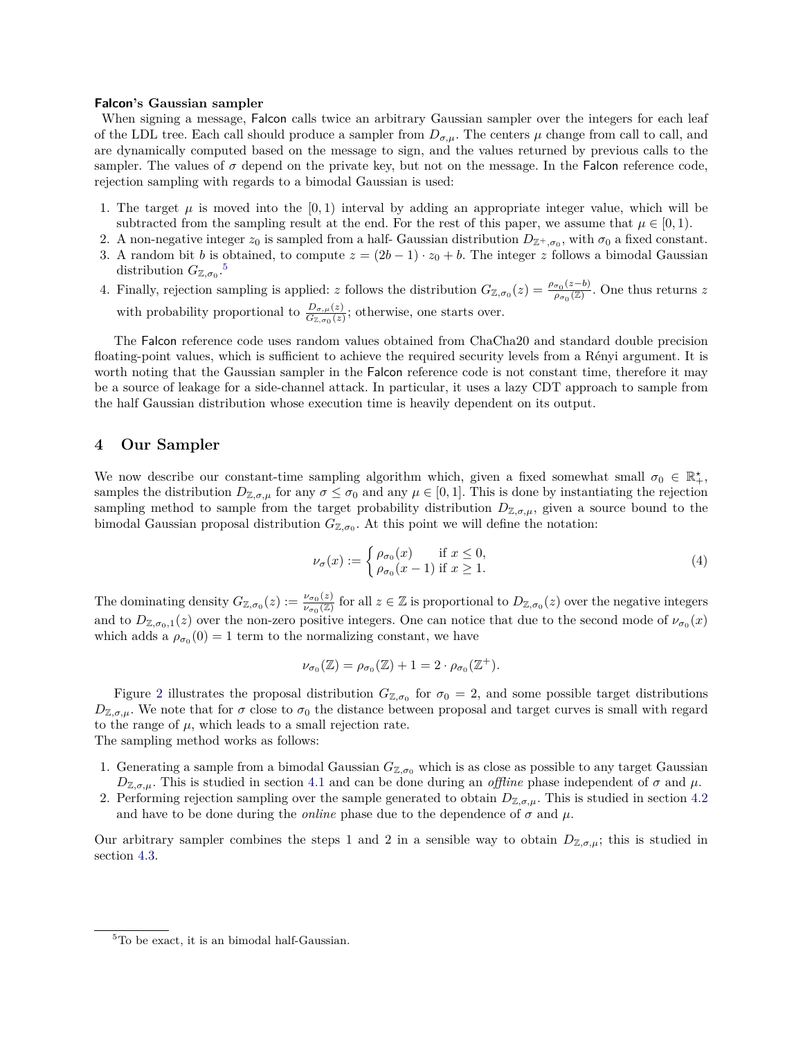#### **Falcon's Gaussian sampler**

When signing a message, Falcon calls twice an arbitrary Gaussian sampler over the integers for each leaf of the LDL tree. Each call should produce a sampler from  $D_{\sigma,\mu}$ . The centers  $\mu$  change from call to call, and are dynamically computed based on the message to sign, and the values returned by previous calls to the sampler. The values of  $\sigma$  depend on the private key, but not on the message. In the Falcon reference code, rejection sampling with regards to a bimodal Gaussian is used:

- 1. The target  $\mu$  is moved into the  $[0,1)$  interval by adding an appropriate integer value, which will be subtracted from the sampling result at the end. For the rest of this paper, we assume that  $\mu \in [0, 1)$ .
- 2. A non-negative integer  $z_0$  is sampled from a half- Gaussian distribution  $D_{\mathbb{Z}^+,\sigma_0}$ , with  $\sigma_0$  a fixed constant.
- 3. A random bit *b* is obtained, to compute  $z = (2b 1) \cdot z_0 + b$ . The integer *z* follows a bimodal Gaussian distribution  $G_{\mathbb{Z},\sigma_0}$ .<sup>[5](#page-0-0)</sup>
- 4. Finally, rejection sampling is applied: *z* follows the distribution  $G_{\mathbb{Z},\sigma_0}(z) = \frac{\rho_{\sigma_0}(z-b)}{\rho_{\sigma_0}(\mathbb{Z})}$  $\frac{\sigma_0(z=0)}{\rho_{\sigma_0}(\mathbb{Z})}$ . One thus returns *z* with probability proportional to  $\frac{D_{\sigma,\mu}(z)}{G_{\mathbb{Z},\sigma_0}(z)}$ ; otherwise, one starts over.

The Falcon reference code uses random values obtained from ChaCha20 and standard double precision floating-point values, which is sufficient to achieve the required security levels from a Rényi argument. It is worth noting that the Gaussian sampler in the Falcon reference code is not constant time, therefore it may be a source of leakage for a side-channel attack. In particular, it uses a lazy CDT approach to sample from the half Gaussian distribution whose execution time is heavily dependent on its output.

## **4 Our Sampler**

We now describe our constant-time sampling algorithm which, given a fixed somewhat small  $\sigma_0 \in \mathbb{R}^*$ , samples the distribution  $D_{\mathbb{Z},\sigma,\mu}$  for any  $\sigma \leq \sigma_0$  and any  $\mu \in [0,1]$ . This is done by instantiating the rejection sampling method to sample from the target probability distribution  $D_{\mathbb{Z},\sigma,\mu}$ , given a source bound to the bimodal Gaussian proposal distribution  $G_{\mathbb{Z},\sigma_0}$ . At this point we will define the notation:

$$
\nu_{\sigma}(x) := \begin{cases} \rho_{\sigma_0}(x) & \text{if } x \le 0, \\ \rho_{\sigma_0}(x-1) & \text{if } x \ge 1. \end{cases}
$$
 (4)

The dominating density  $G_{\mathbb{Z},\sigma_0}(z) := \frac{\nu_{\sigma_0}(z)}{\nu_{\sigma_0}(\mathbb{Z})}$  $\frac{\nu_{\sigma_0}(z)}{\nu_{\sigma_0}(\mathbb{Z})}$  for all  $z \in \mathbb{Z}$  is proportional to  $D_{\mathbb{Z},\sigma_0}(z)$  over the negative integers and to  $D_{\mathbb{Z},\sigma_0,1}(z)$  over the non-zero positive integers. One can notice that due to the second mode of  $\nu_{\sigma_0}(x)$ which adds a  $\rho_{\sigma_0}(0) = 1$  term to the normalizing constant, we have

$$
\nu_{\sigma_0}(\mathbb{Z}) = \rho_{\sigma_0}(\mathbb{Z}) + 1 = 2 \cdot \rho_{\sigma_0}(\mathbb{Z}^+).
$$

Figure [2](#page-5-0) illustrates the proposal distribution  $G_{\mathbb{Z},\sigma_0}$  for  $\sigma_0=2$ , and some possible target distributions  $D_{\mathbb{Z},\sigma,\mu}$ . We note that for  $\sigma$  close to  $\sigma_0$  the distance between proposal and target curves is small with regard to the range of  $\mu$ , which leads to a small rejection rate.

The sampling method works as follows:

- 1. Generating a sample from a bimodal Gaussian  $G_{\mathbb{Z},\sigma_0}$  which is as close as possible to any target Gaussian  $D_{\mathbb{Z},\sigma,\mu}$ . This is studied in section [4.1](#page-5-1) and can be done during an *offline* phase independent of  $\sigma$  and  $\mu$ .
- 2. Performing rejection sampling over the sample generated to obtain  $D_{\mathbb{Z},\sigma,\mu}$ . This is studied in section [4.2](#page-5-2) and have to be done during the *online* phase due to the dependence of  $\sigma$  and  $\mu$ .

Our arbitrary sampler combines the steps 1 and 2 in a sensible way to obtain  $D_{\mathbb{Z},\sigma,\mu}$ ; this is studied in section [4.3.](#page-6-0)

<sup>5</sup>To be exact, it is an bimodal half-Gaussian.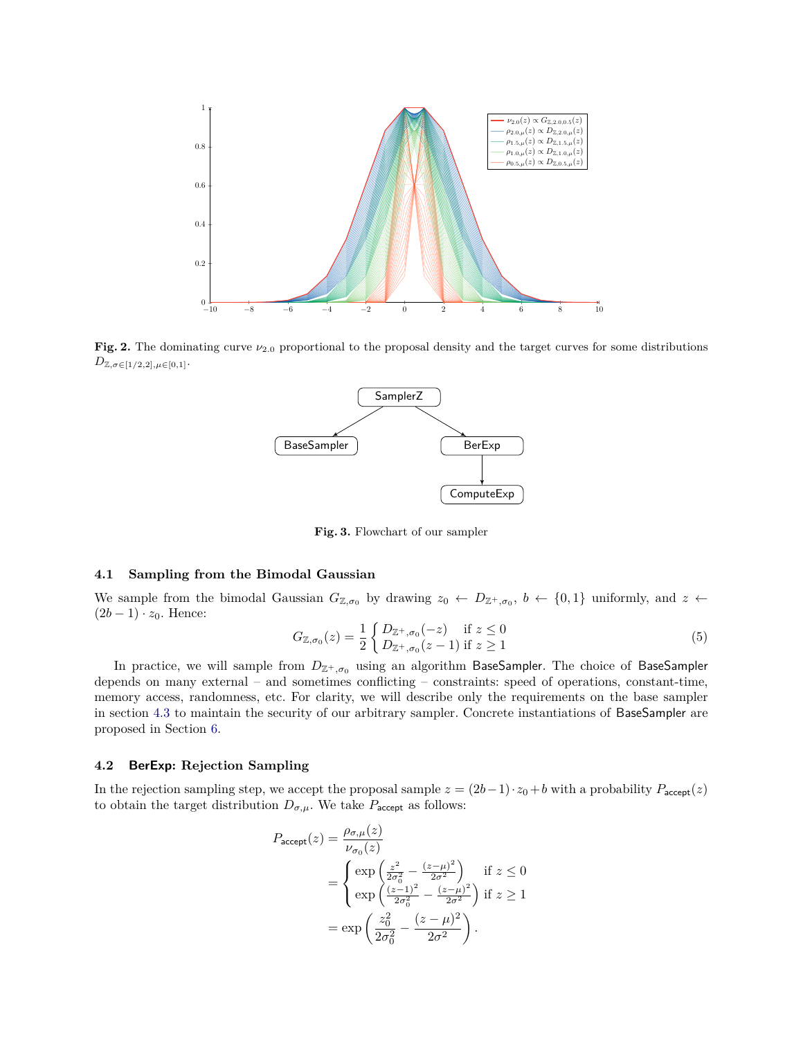

**Fig. 2.** The dominating curve  $\nu_{2,0}$  proportional to the proposal density and the target curves for some distributions  $D_{\mathbb{Z},\sigma \in [1/2,2],\mu \in [0,1]}$ .

<span id="page-5-0"></span>

**Fig. 3.** Flowchart of our sampler

## <span id="page-5-1"></span>**4.1 Sampling from the Bimodal Gaussian**

We sample from the bimodal Gaussian  $G_{\mathbb{Z},\sigma_0}$  by drawing  $z_0 \leftarrow D_{\mathbb{Z}^+,\sigma_0}$ ,  $b \leftarrow \{0,1\}$  uniformly, and  $z \leftarrow$  $(2b-1) \cdot z_0$ . Hence:

$$
G_{\mathbb{Z},\sigma_0}(z) = \frac{1}{2} \begin{cases} D_{\mathbb{Z}^+,\sigma_0}(-z) & \text{if } z \le 0\\ D_{\mathbb{Z}^+,\sigma_0}(z-1) & \text{if } z \ge 1 \end{cases}
$$
 (5)

In practice, we will sample from  $D_{\mathbb{Z}^+, \sigma_0}$  using an algorithm BaseSampler. The choice of BaseSampler depends on many external – and sometimes conflicting – constraints: speed of operations, constant-time, memory access, randomness, etc. For clarity, we will describe only the requirements on the base sampler in section [4.3](#page-6-0) to maintain the security of our arbitrary sampler. Concrete instantiations of BaseSampler are proposed in Section [6.](#page-11-0)

#### <span id="page-5-2"></span>**4.2 BerExp: Rejection Sampling**

In the rejection sampling step, we accept the proposal sample  $z = (2b-1) \cdot z_0 + b$  with a probability  $P_{\text{accept}}(z)$ to obtain the target distribution  $D_{\sigma,\mu}$ . We take  $P_{\text{accept}}$  as follows:

$$
P_{\text{accept}}(z) = \frac{\rho_{\sigma,\mu}(z)}{\nu_{\sigma_0}(z)}
$$
  
= 
$$
\begin{cases} \exp\left(\frac{z^2}{2\sigma_0^2} - \frac{(z-\mu)^2}{2\sigma^2}\right) & \text{if } z \le 0\\ \exp\left(\frac{(z-1)^2}{2\sigma_0^2} - \frac{(z-\mu)^2}{2\sigma^2}\right) & \text{if } z \ge 1 \end{cases}
$$
  
= 
$$
\exp\left(\frac{z_0^2}{2\sigma_0^2} - \frac{(z-\mu)^2}{2\sigma^2}\right).
$$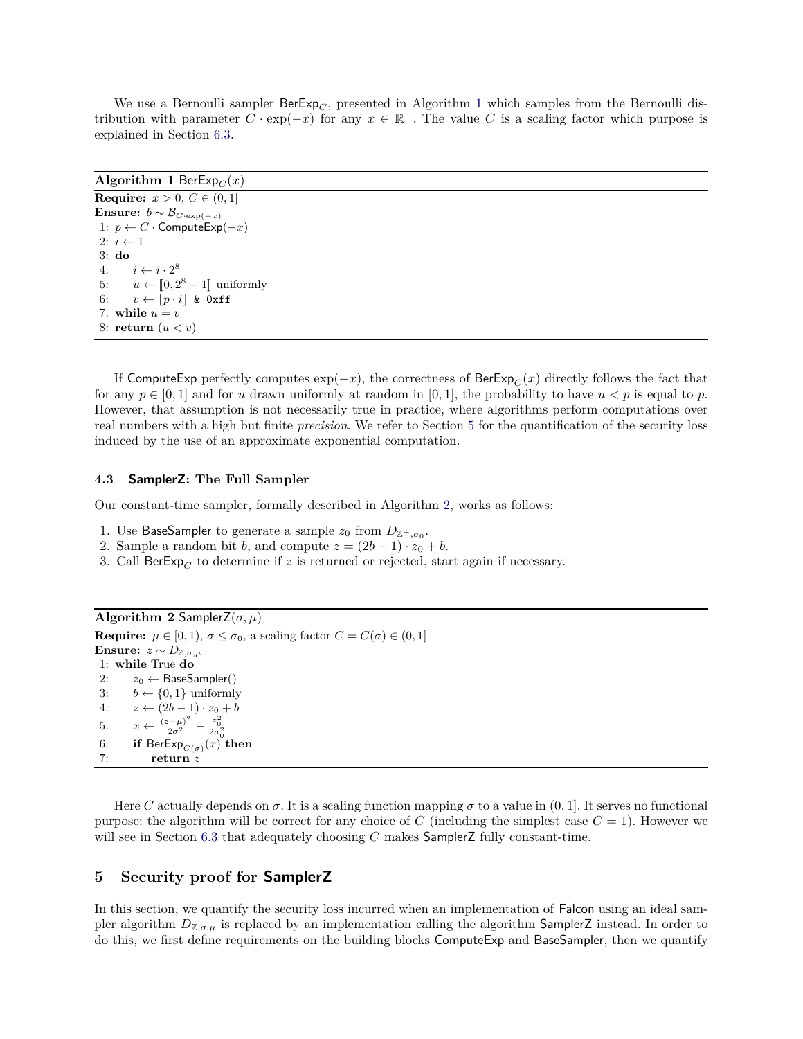We use a Bernoulli sampler  $\text{BerExp}_C$ , presented in Algorithm [1](#page-6-1) which samples from the Bernoulli distribution with parameter  $\tilde{C} \cdot \exp(-x)$  for any  $x \in \mathbb{R}^+$ . The value  $C$  is a scaling factor which purpose is explained in Section [6.3.](#page-12-0)

## **Algorithm 1** BerExp<sub> $C$ </sub> $(x)$

```
Require: x > 0, C \in (0, 1]Ensure: b \sim \mathcal{B}_{C \cdot \exp(-x)}1: p \leftarrow C \cdot \textsf{ComputeExp}(-x)2: i \leftarrow 13: do
 4: i \leftarrow i \cdot 2^85: u \leftarrow [0, 2^8 - 1] uniformly
 6: v \leftarrow |p \cdot i| & 0xff
 7: while u = v8: return (u < v)
```
If ComputeExp perfectly computes  $\exp(-x)$ , the correctness of BerExp<sub>*C*</sub>(*x*) directly follows the fact that for any  $p \in [0,1]$  and for *u* drawn uniformly at random in [0,1], the probability to have  $u < p$  is equal to *p*. However, that assumption is not necessarily true in practice, where algorithms perform computations over real numbers with a high but finite *precision*. We refer to Section [5](#page-6-2) for the quantification of the security loss induced by the use of an approximate exponential computation.

#### <span id="page-6-0"></span>**4.3 SamplerZ: The Full Sampler**

Our constant-time sampler, formally described in Algorithm [2,](#page-6-3) works as follows:

- 1. Use BaseSampler to generate a sample  $z_0$  from  $D_{\mathbb{Z}^+,\sigma_0}$ .
- 2. Sample a random bit *b*, and compute  $z = (2b 1) \cdot z_0 + b$ .
- 3. Call  $\text{BerExp}_{C}$  to determine if *z* is returned or rejected, start again if necessary.

```
Algorithm 2 SamplerZ(\sigma, \mu)
Require: \mu \in [0, 1), \sigma \leq \sigma_0, a scaling factor C = C(\sigma) \in (0, 1]Ensure: z \sim D_{\mathbb{Z}, \sigma, \mu}1: while True do
 2: z_0 \leftarrow BaseSampler()
 3: b \leftarrow \{0, 1\} uniformly
 4: z \leftarrow (2b-1) \cdot z_0 + b5: x \leftarrow \frac{(z-\mu)^2}{2\sigma^2} - \frac{z_0^2}{2\sigma_0^2}6: if \mathsf{BerExp}_{C(\sigma)}(x) then
 7: return z
```
Here *C* actually depends on  $\sigma$ . It is a scaling function mapping  $\sigma$  to a value in  $(0, 1]$ . It serves no functional purpose: the algorithm will be correct for any choice of *C* (including the simplest case  $C = 1$ ). However we will see in Section [6.3](#page-12-0) that adequately choosing *C* makes SamplerZ fully constant-time.

## <span id="page-6-2"></span>**5 Security proof for SamplerZ**

In this section, we quantify the security loss incurred when an implementation of Falcon using an ideal sampler algorithm  $D_{\mathbb{Z},\sigma,\mu}$  is replaced by an implementation calling the algorithm **SamplerZ** instead. In order to do this, we first define requirements on the building blocks ComputeExp and BaseSampler, then we quantify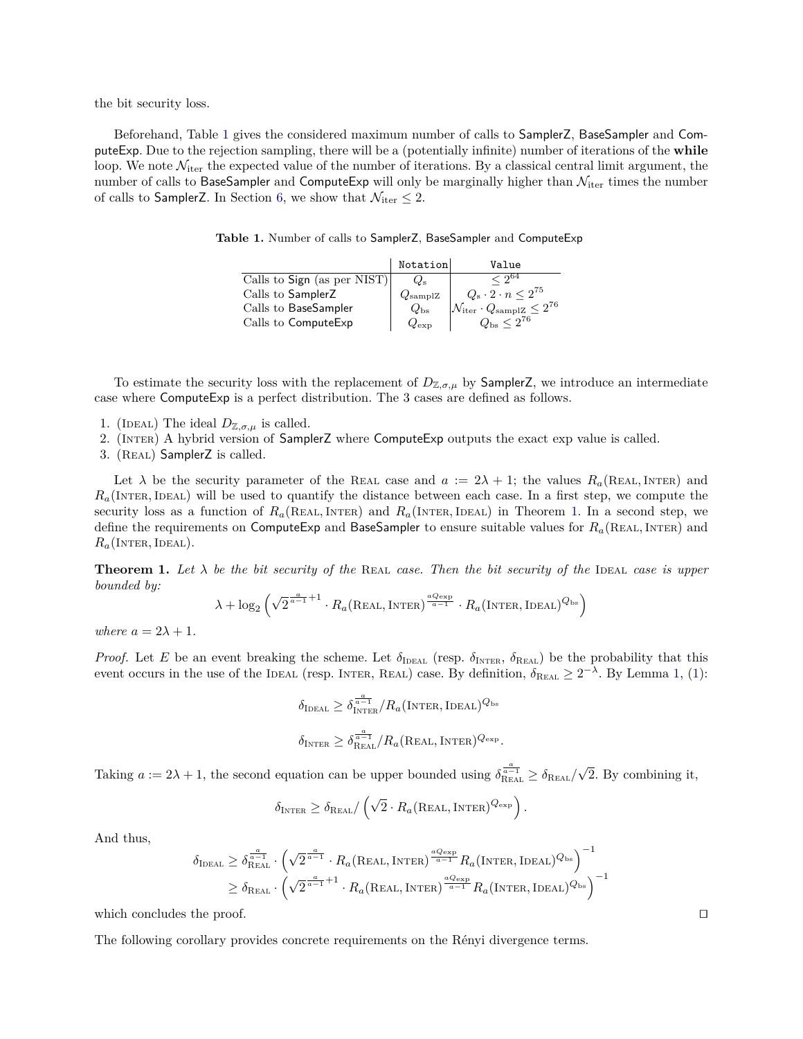the bit security loss.

<span id="page-7-0"></span>Beforehand, Table [1](#page-7-0) gives the considered maximum number of calls to SamplerZ, BaseSampler and ComputeExp. Due to the rejection sampling, there will be a (potentially infinite) number of iterations of the **while** loop. We note  $\mathcal{N}_{iter}$  the expected value of the number of iterations. By a classical central limit argument, the number of calls to BaseSampler and ComputeExp will only be marginally higher than  $\mathcal{N}_{\text{iter}}$  times the number of calls to SamplerZ. In Section [6,](#page-11-0) we show that  $\mathcal{N}_{\text{iter}} \leq 2$ .

|  |  |  |  |  | Table 1. Number of calls to SamplerZ, BaseSampler and ComputeExp |
|--|--|--|--|--|------------------------------------------------------------------|
|--|--|--|--|--|------------------------------------------------------------------|

|                             | Notation         | Value                                                              |
|-----------------------------|------------------|--------------------------------------------------------------------|
| Calls to Sign (as per NIST) | $\omega_{\rm s}$ | $\sqrt{2}^{64}$                                                    |
| Calls to SamplerZ           | $Q_{\rm samplZ}$ | $Q_{\rm s}\cdot 2\cdot n\leq 2^{75}$                               |
| Calls to BaseSampler        | $Q_{\rm bs}$     | $ \mathcal{N}_{\text{iter}} \cdot Q_{\text{sampleZ}} \leq 2^{76} $ |
| Calls to ComputeExp         | $Q_{\rm exp}$    | $Q_{\rm bs} \leq 2^{76}$                                           |

To estimate the security loss with the replacement of  $D_{\mathbb{Z},\sigma,\mu}$  by **SamplerZ**, we introduce an intermediate case where ComputeExp is a perfect distribution. The 3 cases are defined as follows.

- 1. (IDEAL) The ideal  $D_{\mathbb{Z},\sigma,\mu}$  is called.
- 2. (Inter) A hybrid version of SamplerZ where ComputeExp outputs the exact exp value is called.
- 3. (Real) SamplerZ is called.

Let  $\lambda$  be the security parameter of the REAL case and  $a := 2\lambda + 1$ ; the values  $R_a$ (REAL, INTER) and  $R_a$ (INTER, IDEAL) will be used to quantify the distance between each case. In a first step, we compute the security loss as a function of  $R_a$ (REAL, INTER) and  $R_a$ (INTER, IDEAL) in Theorem [1.](#page-7-1) In a second step, we define the requirements on ComputeExp and BaseSampler to ensure suitable values for  $R_a$ (REAL, INTER) and  $R_a$ (Inter, Ideal).

<span id="page-7-1"></span>**Theorem 1.** Let  $\lambda$  be the bit security of the REAL case. Then the bit security of the IDEAL case is upper *bounded by:*

$$
\lambda + \log_2 \left( \sqrt{2}^{\frac{a}{a-1}+1} \cdot R_a(\text{Real}, \text{Inter})^{\frac{a_{Q_{\text{exp}}}}{a-1}} \cdot R_a(\text{Inter}, \text{Ideal})^{Q_{\text{bs}}} \right)
$$

*where*  $a = 2\lambda + 1$ *.* 

*Proof.* Let *E* be an event breaking the scheme. Let  $\delta_{\text{IDEAL}}$  (resp.  $\delta_{\text{INTER}}$ ,  $\delta_{\text{ReLU}}$ ) be the probability that this event occurs in the use of the IDEAL (resp. INTER, REAL) case. By definition,  $\delta_{\text{ReAL}} \geq 2^{-\lambda}$ . By Lemma [1,](#page-2-0) [\(1\)](#page-2-1):

$$
\delta_{\text{IDEAL}} \geq \delta_{\text{INTER}}^{\frac{a}{a-1}}/R_a(\text{INTER}, \text{IDEAL})^{Q_{\text{bs}}} \n\delta_{\text{INTER}} \geq \delta_{\text{REAL}}^{\frac{a}{a-1}}/R_a(\text{Real}, \text{INTER})^{Q_{\text{exp}}}.
$$

Taking  $a := 2\lambda + 1$ , the second equation can be upper bounded using  $\delta_{\text{REAL}}^{\frac{a}{a-1}} \ge \delta_{\text{REAL}}/\sqrt{2}$ . By combining it,

$$
\delta_{\text{INTER}} \geq \delta_{\text{Real}} / \left( \sqrt{2} \cdot R_a(\text{Real}, \text{Inter})^{Q_{\text{exp}}} \right).
$$

And thus,

$$
\delta_{\text{IDEAL}} \ge \delta_{\text{Real}}^{\frac{a}{a-1}} \cdot \left(\sqrt{2}^{\frac{a}{a-1}} \cdot R_a(\text{Real}, \text{Inter})^{\frac{a_{\text{Cexp}}}{a-1}} R_a(\text{Inter}, \text{IEal})^{Q_{\text{bs}}}\right)^{-1} \ge \delta_{\text{Real}} \cdot \left(\sqrt{2}^{\frac{a}{a-1}+1} \cdot R_a(\text{Real}, \text{Inter})^{\frac{a_{\text{Cexp}}}{a-1}} R_a(\text{Inter}, \text{IEal})^{Q_{\text{bs}}}\right)^{-1}
$$

which concludes the proof.  $\Box$ 

The following corollary provides concrete requirements on the Rényi divergence terms.

<span id="page-7-2"></span>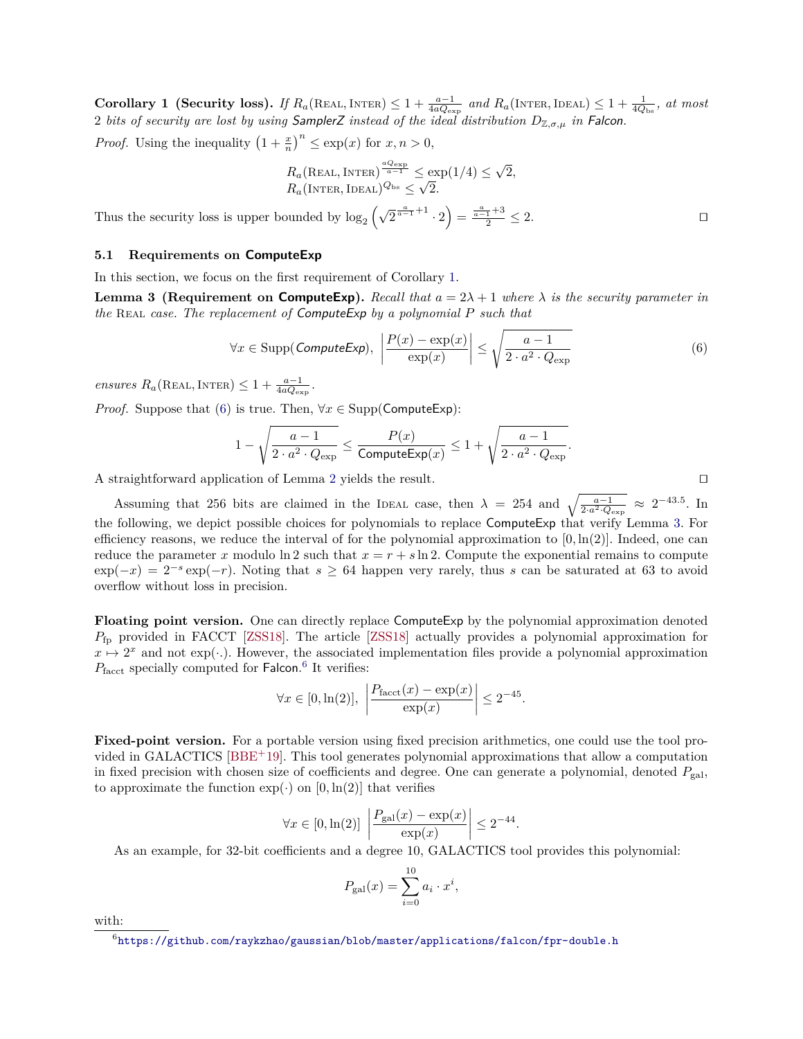<span id="page-8-3"></span>**Corollary 1** (Security loss). If  $R_a$ (REAL, INTER) ≤ 1 +  $\frac{a-1}{4aQ_{\exp}}$  and  $R_a$ (INTER, IDEAL) ≤ 1 +  $\frac{1}{4Q_{\text{bs}}}$ , at most 2 *bits of security are lost by using* SamplerZ *instead of the ideal distribution*  $D_{\mathbb{Z},\sigma,\mu}$  *in* Falcon.

*Proof.* Using the inequality  $\left(1 + \frac{x}{n}\right)^n \le \exp(x)$  for  $x, n > 0$ ,

<span id="page-8-1"></span>
$$
R_a(\text{Real}, \text{Inter})^{\frac{aQ_{\text{exp}}}{a-1}} \le \exp(1/4) \le \sqrt{2},
$$
  

$$
R_a(\text{Inter}, \text{Imel})^{Q_{\text{bs}}} \le \sqrt{2}.
$$

Thus the security loss is upper bounded by  $\log_2(\sqrt{2}^{\frac{a}{a-1}+1} \cdot 2) = \frac{\frac{a}{a-1}+3}{2} \leq 2.$ 

## <span id="page-8-2"></span>**5.1 Requirements on ComputeExp**

In this section, we focus on the first requirement of Corollary [1.](#page-7-2)

**Lemma 3 (Requirement on ComputeExp).** *Recall that*  $a = 2\lambda + 1$  *where*  $\lambda$  *is the security parameter in the* Real *case. The replacement of* ComputeExp *by a polynomial P such that*

$$
\forall x \in \text{Supp}(\text{ComputeExp}), \ \left| \frac{P(x) - \exp(x)}{\exp(x)} \right| \le \sqrt{\frac{a - 1}{2 \cdot a^2 \cdot Q_{\exp}}}
$$
(6)

 $ensures R_a(\text{Real}, \text{Inter}) \leq 1 + \frac{a-1}{4aQ_{\text{exp}}}$ .

*Proof.* Suppose that [\(6\)](#page-8-0) is true. Then,  $\forall x \in \text{Supp}(\text{ComputeExp})$ :

$$
1 - \sqrt{\frac{a-1}{2 \cdot a^2 \cdot Q_{\exp}}} \le \frac{P(x)}{\text{ComputeExp}(x)} \le 1 + \sqrt{\frac{a-1}{2 \cdot a^2 \cdot Q_{\exp}}}.
$$

A straightforward application of Lemma [2](#page-2-2) yields the result.  $\Box$ 

Assuming that 256 bits are claimed in the IDEAL case, then  $\lambda = 254$  and  $\sqrt{\frac{a-1}{2 \cdot a^2 \cdot Q_{\exp}}} \approx 2^{-43.5}$ . In the following, we depict possible choices for polynomials to replace ComputeExp that verify Lemma [3.](#page-8-1) For efficiency reasons, we reduce the interval of for the polynomial approximation to  $[0, \ln(2)]$ . Indeed, one can reduce the parameter *x* modulo ln 2 such that  $x = r + s \ln 2$ . Compute the exponential remains to compute  $\exp(-x) = 2^{-s}\exp(-r)$ . Noting that  $s \geq 64$  happen very rarely, thus *s* can be saturated at 63 to avoid overflow without loss in precision.

**Floating point version.** One can directly replace ComputeExp by the polynomial approximation denoted *P*fp provided in FACCT [\[ZSS18\]](#page-16-2). The article [\[ZSS18\]](#page-16-2) actually provides a polynomial approximation for  $x \mapsto 2^x$  and not exp(··). However, the associated implementation files provide a polynomial approximation P<sub>facct</sub> specially computed for Falcon.<sup>[6](#page-0-0)</sup> It verifies:

$$
\forall x \in [0, \ln(2)], \left| \frac{P_{\text{facct}}(x) - \exp(x)}{\exp(x)} \right| \le 2^{-45}.
$$

**Fixed-point version.** For a portable version using fixed precision arithmetics, one could use the tool provided in GALACTICS [\[BBE](#page-14-1)<sup>+</sup>19]. This tool generates polynomial approximations that allow a computation in fixed precision with chosen size of coefficients and degree. One can generate a polynomial, denoted  $P_{\text{gal}}$ , to approximate the function  $\exp(\cdot)$  on  $[0, \ln(2)]$  that verifies

$$
\forall x \in [0, \ln(2)] \left| \frac{P_{\text{gal}}(x) - \exp(x)}{\exp(x)} \right| \le 2^{-44}.
$$

As an example, for 32-bit coefficients and a degree 10, GALACTICS tool provides this polynomial:

$$
P_{\rm gal}(x) = \sum_{i=0}^{10} a_i \cdot x^i,
$$

with:

<span id="page-8-0"></span>

 $^6$ <https://github.com/raykzhao/gaussian/blob/master/applications/falcon/fpr-double.h>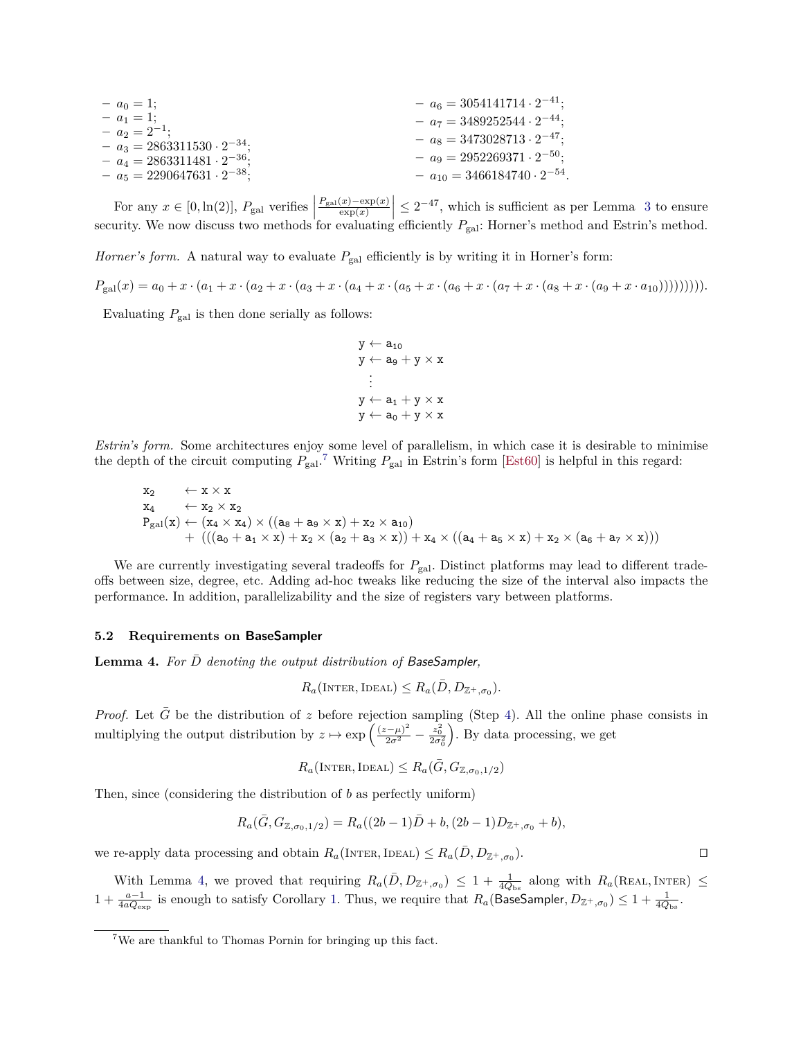<span id="page-9-2"></span>
$$
- a_0 = 1;
$$
\n
$$
- a_1 = 1;
$$
\n
$$
- a_2 = 2^{-1};
$$
\n
$$
- a_3 = 2863311530 \cdot 2^{-34};
$$
\n
$$
- a_4 = 2863311481 \cdot 2^{-36};
$$
\n
$$
- a_5 = 2290647631 \cdot 2^{-38};
$$
\n
$$
- a_{10} = 3466184740 \cdot 2^{-54}.
$$

For any  $x \in [0, \ln(2)]$ ,  $P_{\text{gal}}$  verifies  $P_{\text{gal}}(x) - \exp(x)$  $\left|\frac{(x)-\exp(x)}{(\exp(x))}\right| \leq 2^{-47}$ , which is sufficient as per Lemma [3](#page-8-1) to ensure security. We now discuss two methods for evaluating efficiently  $P_{\text{gal}}$ : Horner's method and Estrin's method.

*Horner's form.* A natural way to evaluate  $P_{gal}$  efficiently is by writing it in Horner's form:

 $P_{\text{gal}}(x) = a_0 + x \cdot (a_1 + x \cdot (a_2 + x \cdot (a_3 + x \cdot (a_4 + x \cdot (a_5 + x \cdot (a_6 + x \cdot (a_7 + x \cdot (a_8 + x \cdot (a_9 + x \cdot a_{10}))))))))$ 

Evaluating  $P_{\text{gal}}$  is then done serially as follows:

$$
y \leftarrow a_{10}
$$
  
\n
$$
y \leftarrow a_{9} + y \times x
$$
  
\n
$$
\vdots
$$
  
\n
$$
y \leftarrow a_{1} + y \times x
$$
  
\n
$$
y \leftarrow a_{0} + y \times x
$$

*Estrin's form.* Some architectures enjoy some level of parallelism, in which case it is desirable to minimise the depth of the circuit computing  $P_{\text{gal}}$ .<sup>[7](#page-0-0)</sup> Writing  $P_{\text{gal}}$  in Estrin's form [\[Est60\]](#page-15-17) is helpful in this regard:

$$
\begin{array}{ll} x_2 & \leftarrow x \times x \\ x_4 & \leftarrow x_2 \times x_2 \\ P_{\rm gal}(x) \leftarrow (x_4 \times x_4) \times ((a_8 + a_9 \times x) + x_2 \times a_{10}) \\ & + \left(((a_0 + a_1 \times x) + x_2 \times (a_2 + a_3 \times x)) + x_4 \times ((a_4 + a_5 \times x) + x_2 \times (a_6 + a_7 \times x)) \right)\end{array}
$$

We are currently investigating several tradeoffs for  $P_{\text{gal}}$ . Distinct platforms may lead to different tradeoffs between size, degree, etc. Adding ad-hoc tweaks like reducing the size of the interval also impacts the performance. In addition, parallelizability and the size of registers vary between platforms.

#### <span id="page-9-1"></span>**5.2 Requirements on BaseSampler**

<span id="page-9-0"></span>Lemma 4. For  $\overline{D}$  denoting the output distribution of BaseSampler,

$$
R_a(\text{INTER}, \text{IDEAL}) \leq R_a(\bar{D}, D_{\mathbb{Z}^+,\sigma_0}).
$$

*Proof.* Let  $\bar{G}$  be the distribution of *z* before rejection sampling (Step [4\)](#page-6-3). All the online phase consists in multiplying the output distribution by  $z \mapsto \exp\left(\frac{(z-\mu)^2}{2\sigma^2} - \frac{z_0^2}{2\sigma_0^2}\right)$ . By data processing, we get

$$
R_a(\text{Internet}, \text{Ideal}) \leq R_a(\bar{G}, G_{\mathbb{Z}, \sigma_0, 1/2})
$$

Then, since (considering the distribution of *b* as perfectly uniform)

$$
R_a(\bar{G}, G_{\mathbb{Z}, \sigma_0, 1/2}) = R_a((2b-1)\bar{D} + b, (2b-1)D_{\mathbb{Z}^+,\sigma_0} + b),
$$

we re-apply data processing and obtain  $R_a$ (INTER, IDEAL)  $\leq R_a(\bar{D}, D_{\mathbb{Z}^+}, \sigma_0)$  $\Box$ ).

With Lemma [4,](#page-9-0) we proved that requiring  $R_a(\bar{D}, D_{\mathbb{Z}^+,\sigma_0}) \leq 1 + \frac{1}{4Q_{bs}}$  along with  $R_a(\text{ReAL}, \text{INTER}) \leq$ 1 +  $\frac{a-1}{4aQ_{\text{exp}}}$  is enough to satisfy Corollary [1.](#page-7-2) Thus, we require that  $R_a$ (BaseSampler,  $D_{\mathbb{Z}^+,\sigma_0}$ ) ≤ 1 +  $\frac{1}{4Q_{\text{bs}}}$ .

<sup>7</sup>We are thankful to Thomas Pornin for bringing up this fact.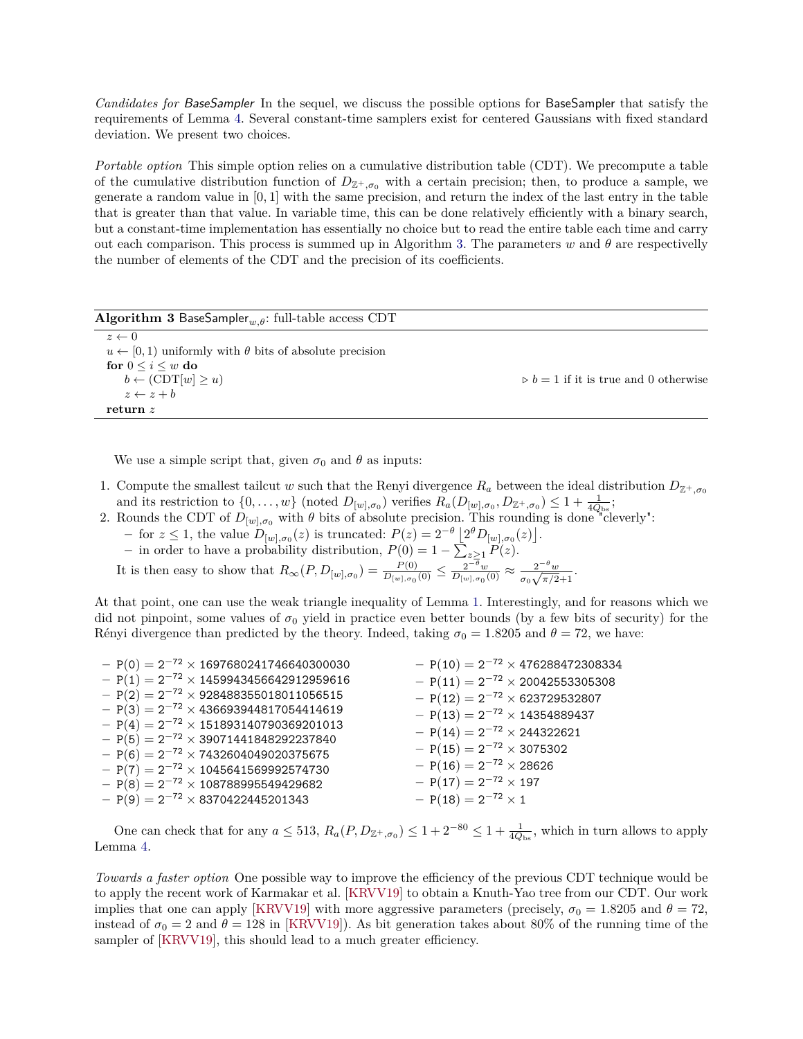<span id="page-10-1"></span>*Candidates for* BaseSampler In the sequel, we discuss the possible options for BaseSampler that satisfy the requirements of Lemma [4.](#page-9-0) Several constant-time samplers exist for centered Gaussians with fixed standard deviation. We present two choices.

*Portable option* This simple option relies on a cumulative distribution table (CDT). We precompute a table of the cumulative distribution function of  $D_{\mathbb{Z}^+,\sigma_0}$  with a certain precision; then, to produce a sample, we generate a random value in [0*,* 1] with the same precision, and return the index of the last entry in the table that is greater than that value. In variable time, this can be done relatively efficiently with a binary search, but a constant-time implementation has essentially no choice but to read the entire table each time and carry out each comparison. This process is summed up in Algorithm [3.](#page-10-0) The parameters  $w$  and  $\theta$  are respectivelly the number of elements of the CDT and the precision of its coefficients.

<span id="page-10-0"></span>

| <b>Algorithm 3 BaseSampler</b> <sub><i>w.g</i></sub> : full-table access CDT |                                                      |
|------------------------------------------------------------------------------|------------------------------------------------------|
| $z \leftarrow 0$                                                             |                                                      |
| $u \leftarrow [0, 1)$ uniformly with $\theta$ bits of absolute precision     |                                                      |
| for $0 \leq i \leq w$ do                                                     |                                                      |
| $b \leftarrow (CDT[w] \ge u)$                                                | $\triangleright b = 1$ if it is true and 0 otherwise |
| $z \leftarrow z + b$                                                         |                                                      |
| return $z$                                                                   |                                                      |

We use a simple script that, given  $\sigma_0$  and  $\theta$  as inputs:

- 1. Compute the smallest tailcut *w* such that the Renyi divergence  $R_a$  between the ideal distribution  $D_{\mathbb{Z}^+,\sigma_0}$ and its restriction to  $\{0, \ldots, w\}$  (noted  $D_{[w], \sigma_0}$ ) verifies  $R_a(D_{[w], \sigma_0}, D_{\mathbb{Z}^+,\sigma_0}) \leq 1 + \frac{1}{4Q_{\text{bs}}};$
- 2. Rounds the CDT of  $D_{[w], \sigma_0}$  with  $\theta$  bits of absolute precision. This rounding is done "cleverly":
	- $-$  for *z* ≤ 1, the value  $D_{[w], \sigma_0}(z)$  is truncated:  $P(z) = 2^{-\theta} \left[ 2^{\theta} D_{[w], \sigma_0}(z) \right]$ .
	- *−* in order to have a probability distribution,  $P(0) = 1 \sum_{z \geq 1} P(z)$ .

It is then easy to show that  $R_{\infty}(P, D_{[w], \sigma_0}) = \frac{P(0)}{D_{[w], \sigma_0}(0)} \leq \frac{2^{-\theta}w}{D_{[w], \sigma_0}(0)}$  $\frac{2^{-\theta}w}{D_{[w],\sigma_0}(0)} \approx \frac{2^{-\theta}w}{\sigma_0\sqrt{\pi/2}}$  $rac{2^{-\sigma}w}{\sigma_0\sqrt{\pi/2}+1}$ .

At that point, one can use the weak triangle inequality of Lemma [1.](#page-2-0) Interestingly, and for reasons which we did not pinpoint, some values of  $\sigma_0$  yield in practice even better bounds (by a few bits of security) for the Rényi divergence than predicted by the theory. Indeed, taking  $\sigma_0 = 1.8205$  and  $\theta = 72$ , we have:

| $-P(0) = 2^{-72} \times 1697680241746640300030$ | $-P(10) = 2^{-72} \times 476288472308334$ |
|-------------------------------------------------|-------------------------------------------|
| $-P(1) = 2^{-72} \times 1459943456642912959616$ | $-P(11) = 2^{-72} \times 20042553305308$  |
| $-P(2) = 2^{-72} \times 928488355018011056515$  | $-P(12)=2^{-72}\times 623729532807$       |
| $-P(3) = 2^{-72} \times 436693944817054414619$  | $-P(13)=2^{-72}\times 14354889437$        |
| $-P(4) = 2^{-72} \times 151893140790369201013$  | $-P(14)=2^{-72}\times 244322621$          |
| $-P(5) = 2^{-72} \times 39071441848292237840$   |                                           |
| $-P(6)=2^{-72}\times 7432604049020375675$       | $-P(15)=2^{-72}\times 3075302$            |
| $-P(7) = 2^{-72} \times 1045641569992574730$    | $-P(16)=2^{-72}\times 28626$              |
| $-P(8) = 2^{-72} \times 108788995549429682$     | $-P(17)=2^{-72}\times 197$                |
| $-P(9) = 2^{-72} \times 8370422445201343$       | $-P(18)=2^{-72}\times 1$                  |
|                                                 |                                           |

One can check that for any  $a \le 513$ ,  $R_a(P, D_{\mathbb{Z}^+,\sigma_0}) \le 1 + 2^{-80} \le 1 + \frac{1}{4Q_{bs}}$ , which in turn allows to apply Lemma [4.](#page-9-0)

*Towards a faster option* One possible way to improve the efficiency of the previous CDT technique would be to apply the recent work of Karmakar et al. [\[KRVV19\]](#page-15-5) to obtain a Knuth-Yao tree from our CDT. Our work implies that one can apply [\[KRVV19\]](#page-15-5) with more aggressive parameters (precisely,  $\sigma_0 = 1.8205$  and  $\theta = 72$ , instead of  $\sigma_0 = 2$  and  $\theta = 128$  in [\[KRVV19\]](#page-15-5)). As bit generation takes about 80% of the running time of the sampler of [\[KRVV19\]](#page-15-5), this should lead to a much greater efficiency.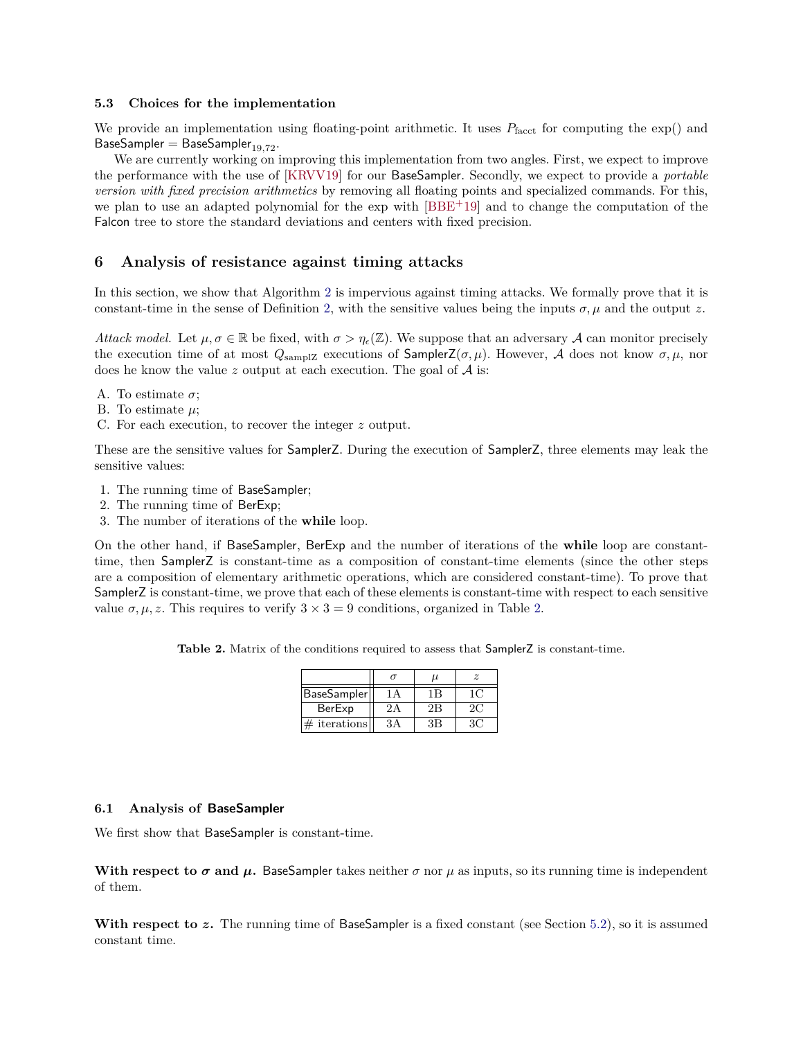#### <span id="page-11-2"></span>**5.3 Choices for the implementation**

We provide an implementation using floating-point arithmetic. It uses  $P_{\text{facct}}$  for computing the  $\exp()$  and BaseSampler = BaseSampler<sub>19,72</sub>.

We are currently working on improving this implementation from two angles. First, we expect to improve the performance with the use of [\[KRVV19\]](#page-15-5) for our BaseSampler. Secondly, we expect to provide a *portable version with fixed precision arithmetics* by removing all floating points and specialized commands. For this, we plan to use an adapted polynomial for the exp with [\[BBE](#page-14-1)<sup>+</sup>19] and to change the computation of the Falcon tree to store the standard deviations and centers with fixed precision.

#### <span id="page-11-0"></span>**6 Analysis of resistance against timing attacks**

In this section, we show that Algorithm [2](#page-6-3) is impervious against timing attacks. We formally prove that it is constant-time in the sense of Definition [2,](#page-2-3) with the sensitive values being the inputs  $\sigma, \mu$  and the output *z*.

*Attack model.* Let  $\mu, \sigma \in \mathbb{R}$  be fixed, with  $\sigma > \eta_{\epsilon}(\mathbb{Z})$ . We suppose that an adversary A can monitor precisely the execution time of at most  $Q_{\text{sampleZ}}$  executions of  $\text{SampleFZ}(\sigma, \mu)$ . However, A does not know  $\sigma, \mu$ , nor does he know the value  $z$  output at each execution. The goal of  $A$  is:

- A. To estimate *σ*;
- B. To estimate *µ*;
- C. For each execution, to recover the integer *z* output.

These are the sensitive values for SamplerZ. During the execution of SamplerZ, three elements may leak the sensitive values:

- 1. The running time of BaseSampler;
- 2. The running time of BerExp;
- 3. The number of iterations of the **while** loop.

On the other hand, if BaseSampler, BerExp and the number of iterations of the **while** loop are constanttime, then SamplerZ is constant-time as a composition of constant-time elements (since the other steps are a composition of elementary arithmetic operations, which are considered constant-time). To prove that SamplerZ is constant-time, we prove that each of these elements is constant-time with respect to each sensitive value  $\sigma, \mu, z$ . This requires to verify  $3 \times 3 = 9$  conditions, organized in Table [2.](#page-11-1)

<span id="page-11-1"></span>Table 2. Matrix of the conditions required to assess that SamplerZ is constant-time.

|                 | u  |    |
|-----------------|----|----|
| BaseSampler     |    |    |
| BerExp          | 2B | 20 |
| $\#$ iterations | 3B |    |

## **6.1 Analysis of BaseSampler**

We first show that BaseSampler is constant-time.

**With respect to**  $\sigma$  **and**  $\mu$ **.** BaseSampler takes neither  $\sigma$  nor  $\mu$  as inputs, so its running time is independent of them.

With respect to z. The running time of BaseSampler is a fixed constant (see Section [5.2\)](#page-9-1), so it is assumed constant time.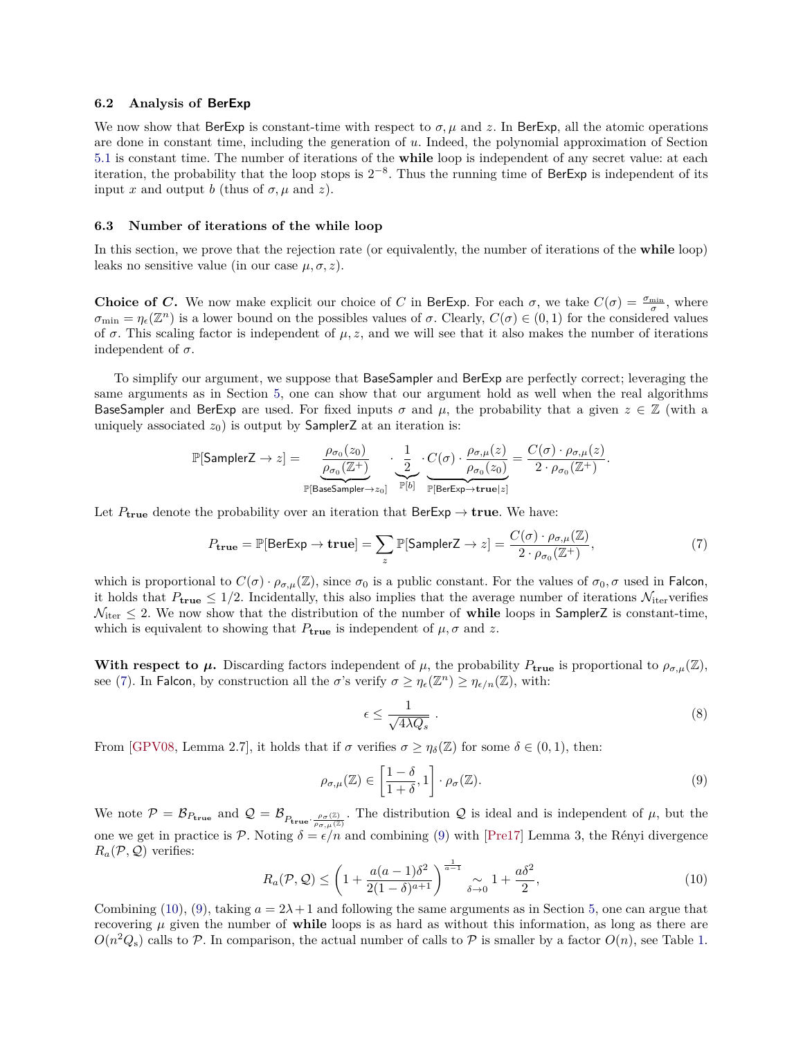#### <span id="page-12-4"></span>**6.2 Analysis of BerExp**

We now show that BerExp is constant-time with respect to  $\sigma, \mu$  and z. In BerExp, all the atomic operations are done in constant time, including the generation of *u*. Indeed, the polynomial approximation of Section [5.1](#page-8-2) is constant time. The number of iterations of the **while** loop is independent of any secret value: at each iteration, the probability that the loop stops is  $2^{-8}$ . Thus the running time of BerExp is independent of its input *x* and output *b* (thus of  $\sigma$ ,  $\mu$  and *z*).

#### <span id="page-12-0"></span>**6.3 Number of iterations of the while loop**

In this section, we prove that the rejection rate (or equivalently, the number of iterations of the **while** loop) leaks no sensitive value (in our case  $\mu, \sigma, z$ ).

**Choice of** *C***.** We now make explicit our choice of *C* in BerExp. For each  $\sigma$ , we take  $C(\sigma) = \frac{\sigma_{\min}}{\sigma}$ , where  $\sigma_{\min} = \eta_{\epsilon}(\mathbb{Z}^n)$  is a lower bound on the possibles values of  $\sigma$ . Clearly,  $C(\sigma) \in (0,1)$  for the considered values of  $\sigma$ . This scaling factor is independent of  $\mu$ , z, and we will see that it also makes the number of iterations independent of  $\sigma$ .

To simplify our argument, we suppose that BaseSampler and BerExp are perfectly correct; leveraging the same arguments as in Section [5,](#page-6-2) one can show that our argument hold as well when the real algorithms BaseSampler and BerExp are used. For fixed inputs  $\sigma$  and  $\mu$ , the probability that a given  $z \in \mathbb{Z}$  (with a uniquely associated  $z_0$ ) is output by **SamplerZ** at an iteration is:

$$
\mathbb{P}[\mathsf{SamplerZ} \to z] = \underbrace{\frac{\rho_{\sigma_0}(z_0)}{\rho_{\sigma_0}(\mathbb{Z}^+)}}_{\mathbb{P}[\mathsf{BaseSampler} \to z_0]} \cdot \underbrace{\frac{1}{2}}_{\mathbb{P}[\mathsf{bi}]} \cdot \underbrace{C(\sigma) \cdot \frac{\rho_{\sigma,\mu}(z)}{\rho_{\sigma_0}(z_0)}}_{\mathbb{P}[\mathsf{BerExp} \to \mathbf{true} | z]} = \frac{C(\sigma) \cdot \rho_{\sigma,\mu}(z)}{2 \cdot \rho_{\sigma_0}(\mathbb{Z}^+)}.
$$

Let  $P_{true}$  denote the probability over an iteration that  $BerExp \rightarrow true$ . We have:

$$
P_{\mathbf{true}} = \mathbb{P}[\text{BerExp} \to \mathbf{true}] = \sum_{z} \mathbb{P}[\text{SamplerZ} \to z] = \frac{C(\sigma) \cdot \rho_{\sigma,\mu}(\mathbb{Z})}{2 \cdot \rho_{\sigma_0}(\mathbb{Z}^+)},\tag{7}
$$

which is proportional to  $C(\sigma) \cdot \rho_{\sigma,\mu}(\mathbb{Z})$ , since  $\sigma_0$  is a public constant. For the values of  $\sigma_0, \sigma$  used in Falcon, it holds that  $P_{true} \leq 1/2$ . Incidentally, this also implies that the average number of iterations  $\mathcal{N}_{iter}$  verifies  $\mathcal{N}_{\text{iter}} \leq 2$ . We now show that the distribution of the number of **while** loops in SamplerZ is constant-time, which is equivalent to showing that  $P_{true}$  is independent of  $\mu$ ,  $\sigma$  and  $z$ .

**With respect to**  $\mu$ **.** Discarding factors independent of  $\mu$ , the probability  $P_{\text{true}}$  is proportional to  $\rho_{\sigma,\mu}(\mathbb{Z})$ , see [\(7\)](#page-12-1). In Falcon, by construction all the *σ*'s verify  $\sigma \geq \eta_{\epsilon}(\mathbb{Z}^n) \geq \eta_{\epsilon/n}(\mathbb{Z})$ , with:

<span id="page-12-2"></span><span id="page-12-1"></span>
$$
\epsilon \le \frac{1}{\sqrt{4\lambda Q_s}} \tag{8}
$$

From  $|\text{GPV08}, \text{ Lemma 2.7}, \text{ it holds that if } \sigma \text{ verifies } \sigma \geq \eta_{\delta}(\mathbb{Z}) \text{ for some } \delta \in (0,1), \text{ then:}$ 

$$
\rho_{\sigma,\mu}(\mathbb{Z}) \in \left[\frac{1-\delta}{1+\delta},1\right] \cdot \rho_{\sigma}(\mathbb{Z}).\tag{9}
$$

We note  $\mathcal{P} = \mathcal{B}_{P_{\text{true}}}$  and  $\mathcal{Q} = \mathcal{B}_{P_{\text{true}} \cdot \frac{\rho_{\sigma}(\mathbb{Z})}{\rho_{\sigma,\mu}(\mathbb{Z})}}$ . The distribution  $\mathcal{Q}$  is ideal and is independent of  $\mu$ , but the one we get in practice is P. Noting  $\delta = \epsilon/n$  and combining [\(9\)](#page-12-2) with [\[Pre17\]](#page-16-4) Lemma 3, the Rényi divergence  $R_a(\mathcal{P}, \mathcal{Q})$  verifies:

<span id="page-12-3"></span>
$$
R_a(\mathcal{P}, \mathcal{Q}) \le \left(1 + \frac{a(a-1)\delta^2}{2(1-\delta)^{a+1}}\right)^{\frac{1}{a-1}} \underset{\delta \to 0}{\sim} 1 + \frac{a\delta^2}{2},\tag{10}
$$

Combining [\(10\)](#page-12-3), [\(9\)](#page-12-2), taking  $a = 2\lambda + 1$  and following the same arguments as in Section [5,](#page-6-2) one can argue that recovering  $\mu$  given the number of **while** loops is as hard as without this information, as long as there are  $O(n^2 Q_s)$  calls to  $P$ . In comparison, the actual number of calls to  $P$  is smaller by a factor  $O(n)$ , see Table [1.](#page-7-0)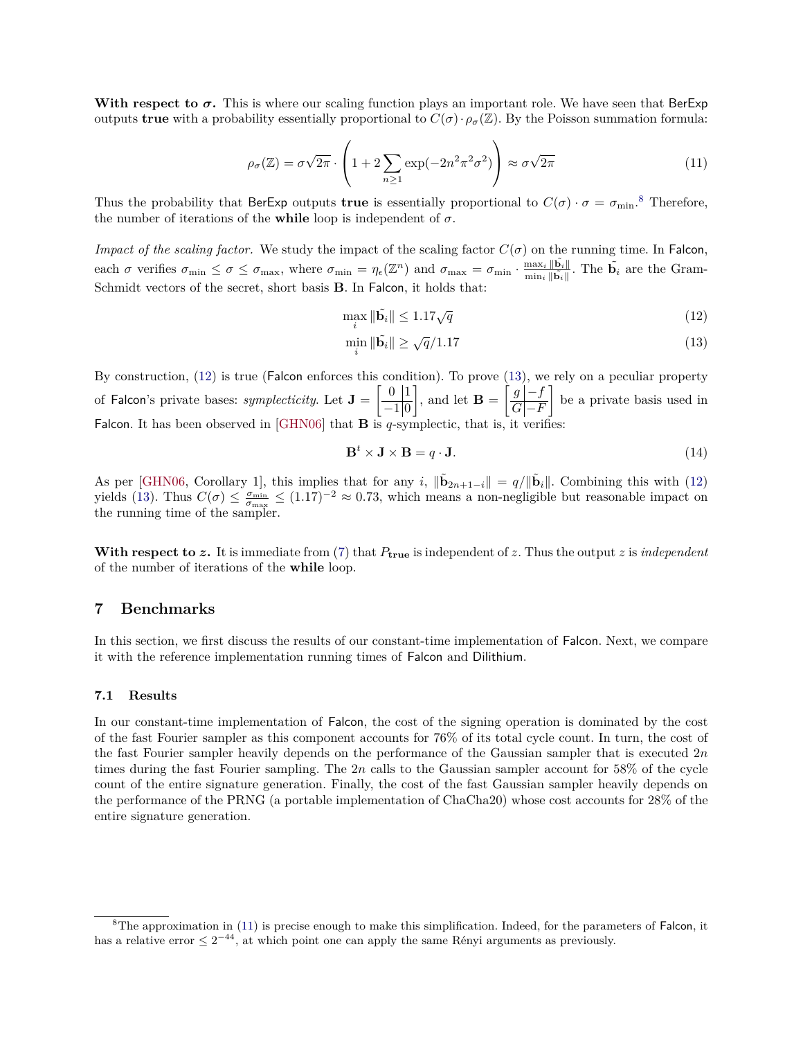<span id="page-13-3"></span><span id="page-13-2"></span>**With respect to**  $\sigma$ **.** This is where our scaling function plays an important role. We have seen that BerExp outputs **true** with a probability essentially proportional to  $C(\sigma) \cdot \rho_{\sigma}(\mathbb{Z})$ . By the Poisson summation formula:

$$
\rho_{\sigma}(\mathbb{Z}) = \sigma \sqrt{2\pi} \cdot \left( 1 + 2 \sum_{n \ge 1} \exp(-2n^2 \pi^2 \sigma^2) \right) \approx \sigma \sqrt{2\pi}
$$
\n(11)

Thus the probability that BerExp outputs **true** is essentially proportional to  $C(\sigma) \cdot \sigma = \sigma_{\min}$ .<sup>[8](#page-0-0)</sup> Therefore, the number of iterations of the **while** loop is independent of  $\sigma$ .

*Impact of the scaling factor.* We study the impact of the scaling factor  $C(\sigma)$  on the running time. In Falcon, each *σ* verifies  $\sigma_{\min} \leq \sigma \leq \sigma_{\max}$ , where  $\sigma_{\min} = \eta_{\epsilon}(\mathbb{Z}^n)$  and  $\sigma_{\max} = \sigma_{\min} \cdot \frac{\max_i ||\tilde{b}_i||}{\min_i ||\tilde{b}_i||}$  $\frac{\max_i \|\mathbf{b}_i\|}{\min_i \|\tilde{\mathbf{b}}_i\|}$ . The  $\tilde{\mathbf{b}}_i$  are the Gram-Schmidt vectors of the secret, short basis **B**. In Falcon, it holds that:

$$
\max_{i} \|\tilde{\mathbf{b}}_{i}\| \le 1.17\sqrt{q} \tag{12}
$$

<span id="page-13-1"></span><span id="page-13-0"></span>
$$
\min_{i} \|\tilde{\mathbf{b}}_{i}\| \ge \sqrt{q}/1.17\tag{13}
$$

By construction, [\(12\)](#page-13-0) is true (Falcon enforces this condition). To prove [\(13\)](#page-13-1), we rely on a peculiar property of Falcon's private bases: *symplecticity*. Let  $J = \begin{bmatrix} 0 & 1 \\ 1 & 0 \end{bmatrix}$  $-1|0$  $\left[\right]$ , and let  $\mathbf{B} = \left[\frac{g|-f}{C\sqrt{E}}\right]$  $|G|-F$  be a private basis used in Falcon. It has been observed in [\[GHN06\]](#page-15-19) that **B** is  $q$ -symplectic, that is, it verifies

$$
\mathbf{B}^t \times \mathbf{J} \times \mathbf{B} = q \cdot \mathbf{J}.\tag{14}
$$

As per [\[GHN06,](#page-15-19) Corollary 1], this implies that for any *i*,  $\|\tilde{\mathbf{b}}_{2n+1-i}\| = q/\|\tilde{\mathbf{b}}_i\|$ . Combining this with [\(12\)](#page-13-0) yields [\(13\)](#page-13-1). Thus  $C(\sigma) \leq \frac{\sigma_{\min}}{\sigma_{\max}} \leq (1.17)^{-2} \approx 0.73$ , which means a non-negligible but reasonable impact on the running time of the sampler.

With respect to  $z$ . It is immediate from [\(7\)](#page-12-1) that  $P_{true}$  is independent of  $z$ . Thus the output  $z$  is *independent* of the number of iterations of the **while** loop.

## **7 Benchmarks**

In this section, we first discuss the results of our constant-time implementation of Falcon. Next, we compare it with the reference implementation running times of Falcon and Dilithium.

#### **7.1 Results**

In our constant-time implementation of Falcon, the cost of the signing operation is dominated by the cost of the fast Fourier sampler as this component accounts for 76% of its total cycle count. In turn, the cost of the fast Fourier sampler heavily depends on the performance of the Gaussian sampler that is executed 2*n* times during the fast Fourier sampling. The 2*n* calls to the Gaussian sampler account for 58% of the cycle count of the entire signature generation. Finally, the cost of the fast Gaussian sampler heavily depends on the performance of the PRNG (a portable implementation of ChaCha20) whose cost accounts for 28% of the entire signature generation.

 ${}^{8}$ The approximation in [\(11\)](#page-13-2) is precise enough to make this simplification. Indeed, for the parameters of Falcon, it has a relative error  $\leq 2^{-44}$ , at which point one can apply the same Rényi arguments as previously.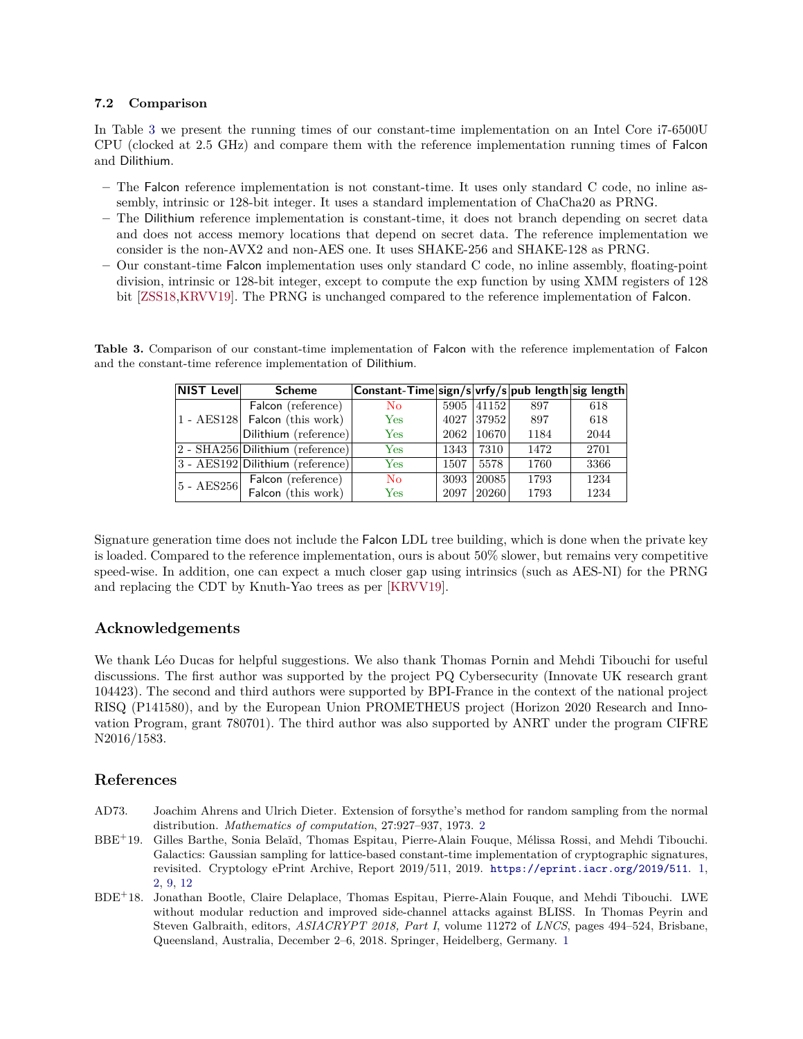## <span id="page-14-4"></span>**7.2 Comparison**

In Table [3](#page-14-3) we present the running times of our constant-time implementation on an Intel Core i7-6500U CPU (clocked at 2.5 GHz) and compare them with the reference implementation running times of Falcon and Dilithium.

- **–** The Falcon reference implementation is not constant-time. It uses only standard C code, no inline assembly, intrinsic or 128-bit integer. It uses a standard implementation of ChaCha20 as PRNG.
- **–** The Dilithium reference implementation is constant-time, it does not branch depending on secret data and does not access memory locations that depend on secret data. The reference implementation we consider is the non-AVX2 and non-AES one. It uses SHAKE-256 and SHAKE-128 as PRNG.
- **–** Our constant-time Falcon implementation uses only standard C code, no inline assembly, floating-point division, intrinsic or 128-bit integer, except to compute the exp function by using XMM registers of 128 bit [\[ZSS18](#page-16-2)[,KRVV19\]](#page-15-5). The PRNG is unchanged compared to the reference implementation of Falcon.

| <b>NIST Level</b> | <b>Scheme</b>                               | Constant-Time sign/s vrfy/s pub length sig length |      |       |      |      |
|-------------------|---------------------------------------------|---------------------------------------------------|------|-------|------|------|
|                   | Falcon (reference)                          | $\overline{N}_{\Omega}$                           | 5905 | 41152 | 897  | 618  |
|                   | 1 - AES128 Falcon (this work)               | Yes                                               | 4027 | 37952 | 897  | 618  |
|                   | Dilithium (reference)                       | Yes                                               | 2062 | 10670 | 1184 | 2044 |
|                   | 2 - SHA256 Dilithium (reference)            | Yes                                               | 1343 | 7310  | 1472 | 2701 |
|                   | $ 3 - \text{AES}192 $ Dilithium (reference) | Yes                                               | 1507 | 5578  | 1760 | 3366 |
| $5 - AES256$      | Falcon (reference)                          | N <sub>0</sub>                                    | 3093 | 20085 | 1793 | 1234 |
|                   | Falcon (this work)                          | Yes                                               | 2097 | 20260 | 1793 | 1234 |

<span id="page-14-3"></span>**Table 3.** Comparison of our constant-time implementation of Falcon with the reference implementation of Falcon and the constant-time reference implementation of Dilithium.

Signature generation time does not include the Falcon LDL tree building, which is done when the private key is loaded. Compared to the reference implementation, ours is about 50% slower, but remains very competitive speed-wise. In addition, one can expect a much closer gap using intrinsics (such as AES-NI) for the PRNG and replacing the CDT by Knuth-Yao trees as per [\[KRVV19\]](#page-15-5).

## **Acknowledgements**

We thank Léo Ducas for helpful suggestions. We also thank Thomas Pornin and Mehdi Tibouchi for useful discussions. The first author was supported by the project PQ Cybersecurity (Innovate UK research grant 104423). The second and third authors were supported by BPI-France in the context of the national project RISQ (P141580), and by the European Union PROMETHEUS project (Horizon 2020 Research and Innovation Program, grant 780701). The third author was also supported by ANRT under the program CIFRE N2016*/*1583.

## **References**

- <span id="page-14-2"></span>AD73. Joachim Ahrens and Ulrich Dieter. Extension of forsythe's method for random sampling from the normal distribution. *Mathematics of computation*, 27:927–937, 1973. [2](#page-1-0)
- <span id="page-14-1"></span>BBE<sup>+</sup>19. Gilles Barthe, Sonia Belaïd, Thomas Espitau, Pierre-Alain Fouque, Mélissa Rossi, and Mehdi Tibouchi. Galactics: Gaussian sampling for lattice-based constant-time implementation of cryptographic signatures, revisited. Cryptology ePrint Archive, Report 2019/511, 2019. <https://eprint.iacr.org/2019/511>. [1,](#page-0-1) [2,](#page-1-0) [9,](#page-8-3) [12](#page-11-2)
- <span id="page-14-0"></span>BDE<sup>+</sup>18. Jonathan Bootle, Claire Delaplace, Thomas Espitau, Pierre-Alain Fouque, and Mehdi Tibouchi. LWE without modular reduction and improved side-channel attacks against BLISS. In Thomas Peyrin and Steven Galbraith, editors, *ASIACRYPT 2018, Part I*, volume 11272 of *LNCS*, pages 494–524, Brisbane, Queensland, Australia, December 2–6, 2018. Springer, Heidelberg, Germany. [1](#page-0-1)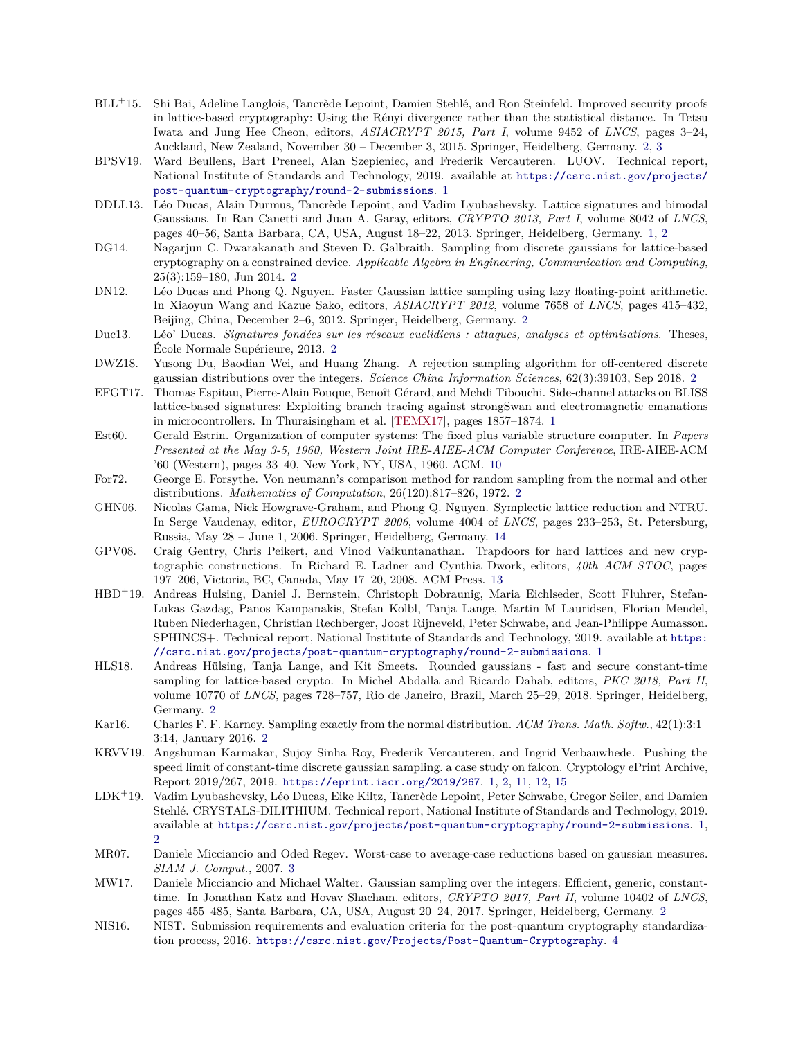- <span id="page-15-20"></span><span id="page-15-7"></span>BLL<sup>+</sup>15. Shi Bai, Adeline Langlois, Tancrède Lepoint, Damien Stehlé, and Ron Steinfeld. Improved security proofs in lattice-based cryptography: Using the Rényi divergence rather than the statistical distance. In Tetsu Iwata and Jung Hee Cheon, editors, *ASIACRYPT 2015, Part I*, volume 9452 of *LNCS*, pages 3–24, Auckland, New Zealand, November 30 – December 3, 2015. Springer, Heidelberg, Germany. [2,](#page-1-0) [3](#page-2-4)
- <span id="page-15-1"></span>BPSV19. Ward Beullens, Bart Preneel, Alan Szepieniec, and Frederik Vercauteren. LUOV. Technical report, National Institute of Standards and Technology, 2019. available at [https://csrc.nist.gov/projects/](https://csrc.nist.gov/projects/post-quantum-cryptography/round-2-submissions) [post-quantum-cryptography/round-2-submissions](https://csrc.nist.gov/projects/post-quantum-cryptography/round-2-submissions). [1](#page-0-1)
- <span id="page-15-3"></span>DDLL13. Léo Ducas, Alain Durmus, Tancrède Lepoint, and Vadim Lyubashevsky. Lattice signatures and bimodal Gaussians. In Ran Canetti and Juan A. Garay, editors, *CRYPTO 2013, Part I*, volume 8042 of *LNCS*, pages 40–56, Santa Barbara, CA, USA, August 18–22, 2013. Springer, Heidelberg, Germany. [1,](#page-0-1) [2](#page-1-0)
- <span id="page-15-9"></span>DG14. Nagarjun C. Dwarakanath and Steven D. Galbraith. Sampling from discrete gaussians for lattice-based cryptography on a constrained device. *Applicable Algebra in Engineering, Communication and Computing*, 25(3):159–180, Jun 2014. [2](#page-1-0)
- <span id="page-15-10"></span>DN12. Léo Ducas and Phong Q. Nguyen. Faster Gaussian lattice sampling using lazy floating-point arithmetic. In Xiaoyun Wang and Kazue Sako, editors, *ASIACRYPT 2012*, volume 7658 of *LNCS*, pages 415–432, Beijing, China, December 2–6, 2012. Springer, Heidelberg, Germany. [2](#page-1-0)
- <span id="page-15-11"></span>Duc13. Léo' Ducas. *Signatures fondées sur les réseaux euclidiens : attaques, analyses et optimisations*. Theses, École Normale Supérieure, 2013. [2](#page-1-0)
- <span id="page-15-14"></span>DWZ18. Yusong Du, Baodian Wei, and Huang Zhang. A rejection sampling algorithm for off-centered discrete gaussian distributions over the integers. *Science China Information Sciences*, 62(3):39103, Sep 2018. [2](#page-1-0)
- <span id="page-15-4"></span>EFGT17. Thomas Espitau, Pierre-Alain Fouque, Benoît Gérard, and Mehdi Tibouchi. Side-channel attacks on BLISS lattice-based signatures: Exploiting branch tracing against strongSwan and electromagnetic emanations in microcontrollers. In Thuraisingham et al. [\[TEMX17\]](#page-16-8), pages 1857–1874. [1](#page-0-1)
- <span id="page-15-17"></span>Est60. Gerald Estrin. Organization of computer systems: The fixed plus variable structure computer. In *Papers Presented at the May 3-5, 1960, Western Joint IRE-AIEE-ACM Computer Conference*, IRE-AIEE-ACM '60 (Western), pages 33–40, New York, NY, USA, 1960. ACM. [10](#page-9-2)
- <span id="page-15-12"></span>For72. George E. Forsythe. Von neumann's comparison method for random sampling from the normal and other distributions. *Mathematics of Computation*, 26(120):817–826, 1972. [2](#page-1-0)
- <span id="page-15-19"></span>GHN06. Nicolas Gama, Nick Howgrave-Graham, and Phong Q. Nguyen. Symplectic lattice reduction and NTRU. In Serge Vaudenay, editor, *EUROCRYPT 2006*, volume 4004 of *LNCS*, pages 233–253, St. Petersburg, Russia, May 28 – June 1, 2006. Springer, Heidelberg, Germany. [14](#page-13-3)
- <span id="page-15-18"></span>GPV08. Craig Gentry, Chris Peikert, and Vinod Vaikuntanathan. Trapdoors for hard lattices and new cryptographic constructions. In Richard E. Ladner and Cynthia Dwork, editors, *40th ACM STOC*, pages 197–206, Victoria, BC, Canada, May 17–20, 2008. ACM Press. [13](#page-12-4)
- <span id="page-15-2"></span>HBD<sup>+</sup>19. Andreas Hulsing, Daniel J. Bernstein, Christoph Dobraunig, Maria Eichlseder, Scott Fluhrer, Stefan-Lukas Gazdag, Panos Kampanakis, Stefan Kolbl, Tanja Lange, Martin M Lauridsen, Florian Mendel, Ruben Niederhagen, Christian Rechberger, Joost Rijneveld, Peter Schwabe, and Jean-Philippe Aumasson. SPHINCS+. Technical report, National Institute of Standards and Technology, 2019. available at [https:](https://csrc.nist.gov/projects/post-quantum-cryptography/round-2-submissions) [//csrc.nist.gov/projects/post-quantum-cryptography/round-2-submissions](https://csrc.nist.gov/projects/post-quantum-cryptography/round-2-submissions). [1](#page-0-1)
- <span id="page-15-8"></span>HLS18. Andreas Hülsing, Tanja Lange, and Kit Smeets. Rounded gaussians - fast and secure constant-time sampling for lattice-based crypto. In Michel Abdalla and Ricardo Dahab, editors, *PKC 2018, Part II*, volume 10770 of *LNCS*, pages 728–757, Rio de Janeiro, Brazil, March 25–29, 2018. Springer, Heidelberg, Germany. [2](#page-1-0)
- <span id="page-15-13"></span>Kar16. Charles F. F. Karney. Sampling exactly from the normal distribution. *ACM Trans. Math. Softw.*, 42(1):3:1– 3:14, January 2016. [2](#page-1-0)
- <span id="page-15-5"></span>KRVV19. Angshuman Karmakar, Sujoy Sinha Roy, Frederik Vercauteren, and Ingrid Verbauwhede. Pushing the speed limit of constant-time discrete gaussian sampling. a case study on falcon. Cryptology ePrint Archive, Report 2019/267, 2019. <https://eprint.iacr.org/2019/267>. [1,](#page-0-1) [2,](#page-1-0) [11,](#page-10-1) [12,](#page-11-2) [15](#page-14-4)
- <span id="page-15-0"></span>LDK<sup>+</sup>19. Vadim Lyubashevsky, Léo Ducas, Eike Kiltz, Tancrède Lepoint, Peter Schwabe, Gregor Seiler, and Damien Stehlé. CRYSTALS-DILITHIUM. Technical report, National Institute of Standards and Technology, 2019. available at <https://csrc.nist.gov/projects/post-quantum-cryptography/round-2-submissions>. [1,](#page-0-1) [2](#page-1-0)
- <span id="page-15-15"></span>MR07. Daniele Micciancio and Oded Regev. Worst-case to average-case reductions based on gaussian measures. *SIAM J. Comput.*, 2007. [3](#page-2-4)
- <span id="page-15-6"></span>MW17. Daniele Micciancio and Michael Walter. Gaussian sampling over the integers: Efficient, generic, constanttime. In Jonathan Katz and Hovav Shacham, editors, *CRYPTO 2017, Part II*, volume 10402 of *LNCS*, pages 455–485, Santa Barbara, CA, USA, August 20–24, 2017. Springer, Heidelberg, Germany. [2](#page-1-0)
- <span id="page-15-16"></span>NIS16. NIST. Submission requirements and evaluation criteria for the post-quantum cryptography standardization process, 2016. <https://csrc.nist.gov/Projects/Post-Quantum-Cryptography>. [4](#page-3-1)